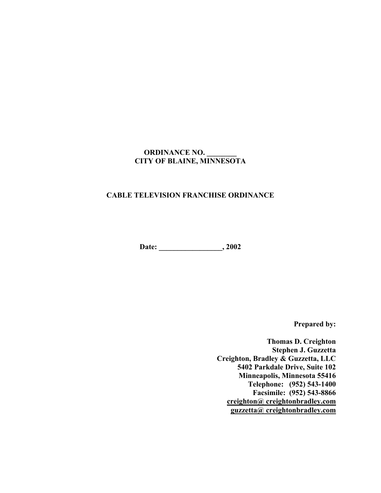# **ORDINANCE NO. \_\_\_\_\_\_\_\_ CITY OF BLAINE, MINNESOTA**

#### **CABLE TELEVISION FRANCHISE ORDINANCE**

 **Date: \_\_\_\_\_\_\_\_\_\_\_\_\_\_\_\_\_, 2002**

**Prepared by:** 

 **Thomas D. Creighton Stephen J. Guzzetta Creighton, Bradley & Guzzetta, LLC 5402 Parkdale Drive, Suite 102 Minneapolis, Minnesota 55416 Telephone: (952) 543-1400 Facsimile: (952) 543-8866 creighton@ creightonbradley.com guzzetta@ creightonbradley.com**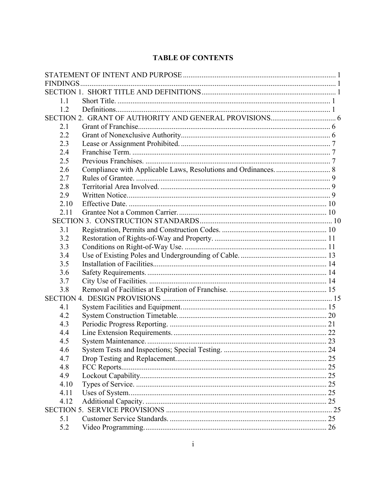# **TABLE OF CONTENTS**

| 11   |  |  |  |
|------|--|--|--|
| 1.2  |  |  |  |
|      |  |  |  |
| 2.1  |  |  |  |
| 2.2  |  |  |  |
| 2.3  |  |  |  |
| 2.4  |  |  |  |
| 2.5  |  |  |  |
| 2.6  |  |  |  |
| 2.7  |  |  |  |
| 2.8  |  |  |  |
| 2.9  |  |  |  |
| 2.10 |  |  |  |
| 2.11 |  |  |  |
|      |  |  |  |
| 3.1  |  |  |  |
| 3.2  |  |  |  |
| 3.3  |  |  |  |
| 3.4  |  |  |  |
| 3.5  |  |  |  |
| 3.6  |  |  |  |
| 3.7  |  |  |  |
| 3.8  |  |  |  |
|      |  |  |  |
| 4.1  |  |  |  |
| 4.2  |  |  |  |
| 4.3  |  |  |  |
| 4.4  |  |  |  |
| 4.5  |  |  |  |
| 4.6  |  |  |  |
| 4.7  |  |  |  |
| 4.8  |  |  |  |
| 4.9  |  |  |  |
| 4.10 |  |  |  |
| 4.11 |  |  |  |
| 4.12 |  |  |  |
|      |  |  |  |
| 5.1  |  |  |  |
| 5.2  |  |  |  |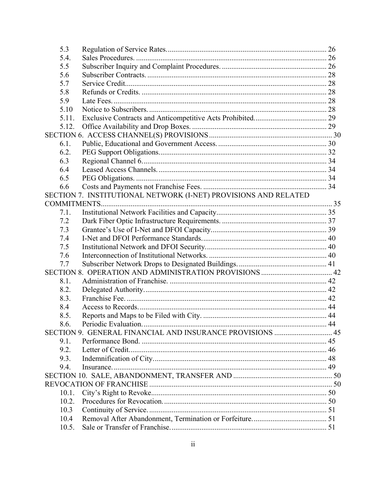| 5.3   |                                                                 |  |
|-------|-----------------------------------------------------------------|--|
| 5.4.  |                                                                 |  |
| 5.5   |                                                                 |  |
| 5.6   |                                                                 |  |
| 5.7   |                                                                 |  |
| 5.8   |                                                                 |  |
| 5.9   |                                                                 |  |
| 5.10  |                                                                 |  |
| 5.11. |                                                                 |  |
| 5.12. |                                                                 |  |
|       |                                                                 |  |
| 6.1.  |                                                                 |  |
| 6.2.  |                                                                 |  |
| 6.3   |                                                                 |  |
| 6.4   |                                                                 |  |
| 6.5   |                                                                 |  |
| 6.6   |                                                                 |  |
|       | SECTION 7. INSTITUTIONAL NETWORK (I-NET) PROVISIONS AND RELATED |  |
|       |                                                                 |  |
| 7.1.  |                                                                 |  |
| 7.2   |                                                                 |  |
| 7.3   |                                                                 |  |
| 7.4   |                                                                 |  |
| 7.5   |                                                                 |  |
| 7.6   |                                                                 |  |
| 7.7   |                                                                 |  |
|       |                                                                 |  |
| 8.1.  |                                                                 |  |
| 8.2.  |                                                                 |  |
| 8.3.  |                                                                 |  |
| 8.4   |                                                                 |  |
| 8.5.  |                                                                 |  |
| 8.6.  |                                                                 |  |
|       | SECTION 9. GENERAL FINANCIAL AND INSURANCE PROVISIONS  45       |  |
| 9.1.  |                                                                 |  |
| 9.2.  |                                                                 |  |
| 9.3.  |                                                                 |  |
|       |                                                                 |  |
| 9.4.  |                                                                 |  |
|       |                                                                 |  |
|       |                                                                 |  |
| 10.1. |                                                                 |  |
| 10.2. |                                                                 |  |
| 10.3  |                                                                 |  |
| 10.4  |                                                                 |  |
|       |                                                                 |  |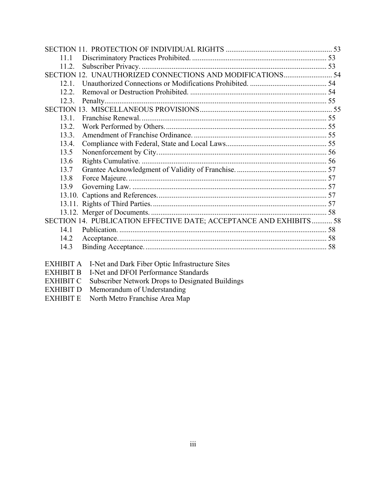| 11.1                                                               |  |
|--------------------------------------------------------------------|--|
| 11.2.                                                              |  |
|                                                                    |  |
| 121                                                                |  |
| 12.2                                                               |  |
| 12.3.                                                              |  |
|                                                                    |  |
| 13.1.                                                              |  |
| 13.2.                                                              |  |
| 13.3.                                                              |  |
| 13.4.                                                              |  |
| 13.5                                                               |  |
| 13.6                                                               |  |
| 13.7                                                               |  |
| 13.8                                                               |  |
| 13.9                                                               |  |
|                                                                    |  |
|                                                                    |  |
|                                                                    |  |
| SECTION 14. PUBLICATION EFFECTIVE DATE; ACCEPTANCE AND EXHIBITS 58 |  |
| 14.1                                                               |  |
| 14.2                                                               |  |
| 14.3                                                               |  |
| <b>EXHIBIT A</b> I-Net and Dark Fiber Optic Infrastructure Sites   |  |

- EXHIBIT B I-Net and DFOI Performance Standards
- EXHIBIT C Subscriber Network Drops to Designated Buildings
- EXHIBIT D Memorandum of Understanding
- EXHIBIT E North Metro Franchise Area Map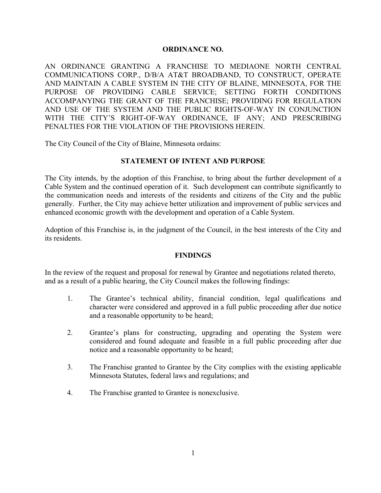#### **ORDINANCE NO.**

AN ORDINANCE GRANTING A FRANCHISE TO MEDIAONE NORTH CENTRAL COMMUNICATIONS CORP., D/B/A AT&T BROADBAND, TO CONSTRUCT, OPERATE AND MAINTAIN A CABLE SYSTEM IN THE CITY OF BLAINE, MINNESOTA, FOR THE PURPOSE OF PROVIDING CABLE SERVICE; SETTING FORTH CONDITIONS ACCOMPANYING THE GRANT OF THE FRANCHISE; PROVIDING FOR REGULATION AND USE OF THE SYSTEM AND THE PUBLIC RIGHTS-OF-WAY IN CONJUNCTION WITH THE CITY'S RIGHT-OF-WAY ORDINANCE, IF ANY; AND PRESCRIBING PENALTIES FOR THE VIOLATION OF THE PROVISIONS HEREIN.

The City Council of the City of Blaine, Minnesota ordains:

#### **STATEMENT OF INTENT AND PURPOSE**

The City intends, by the adoption of this Franchise, to bring about the further development of a Cable System and the continued operation of it. Such development can contribute significantly to the communication needs and interests of the residents and citizens of the City and the public generally. Further, the City may achieve better utilization and improvement of public services and enhanced economic growth with the development and operation of a Cable System.

Adoption of this Franchise is, in the judgment of the Council, in the best interests of the City and its residents.

#### **FINDINGS**

In the review of the request and proposal for renewal by Grantee and negotiations related thereto, and as a result of a public hearing, the City Council makes the following findings:

- 1. The Grantee's technical ability, financial condition, legal qualifications and character were considered and approved in a full public proceeding after due notice and a reasonable opportunity to be heard;
- 2. Grantee's plans for constructing, upgrading and operating the System were considered and found adequate and feasible in a full public proceeding after due notice and a reasonable opportunity to be heard;
- 3. The Franchise granted to Grantee by the City complies with the existing applicable Minnesota Statutes, federal laws and regulations; and
- 4. The Franchise granted to Grantee is nonexclusive.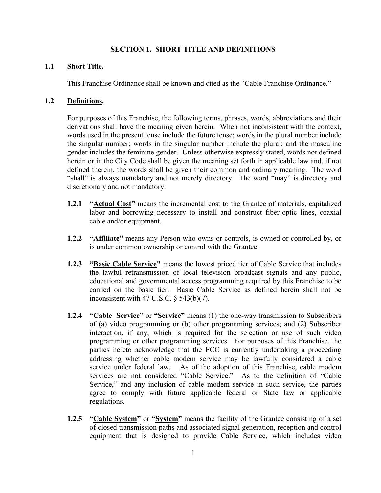#### **SECTION 1. SHORT TITLE AND DEFINITIONS**

#### **1.1 Short Title.**

This Franchise Ordinance shall be known and cited as the "Cable Franchise Ordinance."

#### **1.2 Definitions.**

For purposes of this Franchise, the following terms, phrases, words, abbreviations and their derivations shall have the meaning given herein. When not inconsistent with the context, words used in the present tense include the future tense; words in the plural number include the singular number; words in the singular number include the plural; and the masculine gender includes the feminine gender. Unless otherwise expressly stated, words not defined herein or in the City Code shall be given the meaning set forth in applicable law and, if not defined therein, the words shall be given their common and ordinary meaning. The word "shall" is always mandatory and not merely directory. The word "may" is directory and discretionary and not mandatory.

- **1.2.1 "Actual Cost"** means the incremental cost to the Grantee of materials, capitalized labor and borrowing necessary to install and construct fiber-optic lines, coaxial cable and/or equipment.
- **1.2.2 "Affiliate"** means any Person who owns or controls, is owned or controlled by, or is under common ownership or control with the Grantee.
- **1.2.3 "Basic Cable Service"** means the lowest priced tier of Cable Service that includes the lawful retransmission of local television broadcast signals and any public, educational and governmental access programming required by this Franchise to be carried on the basic tier. Basic Cable Service as defined herein shall not be inconsistent with 47 U.S.C. § 543(b)(7).
- **1.2.4 "Cable Service"** or **"Service"** means (1) the one-way transmission to Subscribers of (a) video programming or (b) other programming services; and (2) Subscriber interaction, if any, which is required for the selection or use of such video programming or other programming services. For purposes of this Franchise, the parties hereto acknowledge that the FCC is currently undertaking a proceeding addressing whether cable modem service may be lawfully considered a cable service under federal law. As of the adoption of this Franchise, cable modem services are not considered "Cable Service." As to the definition of "Cable Service," and any inclusion of cable modem service in such service, the parties agree to comply with future applicable federal or State law or applicable regulations.
- **1.2.5 "Cable System"** or **"System"** means the facility of the Grantee consisting of a set of closed transmission paths and associated signal generation, reception and control equipment that is designed to provide Cable Service, which includes video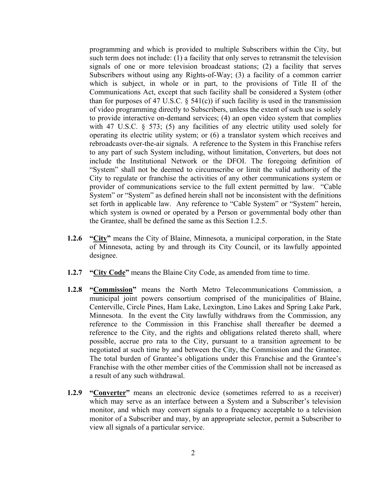programming and which is provided to multiple Subscribers within the City, but such term does not include: (1) a facility that only serves to retransmit the television signals of one or more television broadcast stations; (2) a facility that serves Subscribers without using any Rights-of-Way; (3) a facility of a common carrier which is subject, in whole or in part, to the provisions of Title II of the Communications Act, except that such facility shall be considered a System (other than for purposes of 47 U.S.C.  $\S$  541(c)) if such facility is used in the transmission of video programming directly to Subscribers, unless the extent of such use is solely to provide interactive on-demand services; (4) an open video system that complies with 47 U.S.C. § 573; (5) any facilities of any electric utility used solely for operating its electric utility system; or (6) a translator system which receives and rebroadcasts over-the-air signals. A reference to the System in this Franchise refers to any part of such System including, without limitation, Converters, but does not include the Institutional Network or the DFOI. The foregoing definition of "System" shall not be deemed to circumscribe or limit the valid authority of the City to regulate or franchise the activities of any other communications system or provider of communications service to the full extent permitted by law. "Cable System" or "System" as defined herein shall not be inconsistent with the definitions set forth in applicable law. Any reference to "Cable System" or "System" herein, which system is owned or operated by a Person or governmental body other than the Grantee, shall be defined the same as this Section 1.2.5.

- **1.2.6 "City"** means the City of Blaine, Minnesota, a municipal corporation, in the State of Minnesota, acting by and through its City Council, or its lawfully appointed designee.
- **1.2.7 "City Code"** means the Blaine City Code, as amended from time to time.
- **1.2.8 "Commission"** means the North Metro Telecommunications Commission, a municipal joint powers consortium comprised of the municipalities of Blaine, Centerville, Circle Pines, Ham Lake, Lexington, Lino Lakes and Spring Lake Park, Minnesota. In the event the City lawfully withdraws from the Commission, any reference to the Commission in this Franchise shall thereafter be deemed a reference to the City, and the rights and obligations related thereto shall, where possible, accrue pro rata to the City, pursuant to a transition agreement to be negotiated at such time by and between the City, the Commission and the Grantee. The total burden of Grantee's obligations under this Franchise and the Grantee's Franchise with the other member cities of the Commission shall not be increased as a result of any such withdrawal.
- **1.2.9 "Converter"** means an electronic device (sometimes referred to as a receiver) which may serve as an interface between a System and a Subscriber's television monitor, and which may convert signals to a frequency acceptable to a television monitor of a Subscriber and may, by an appropriate selector, permit a Subscriber to view all signals of a particular service.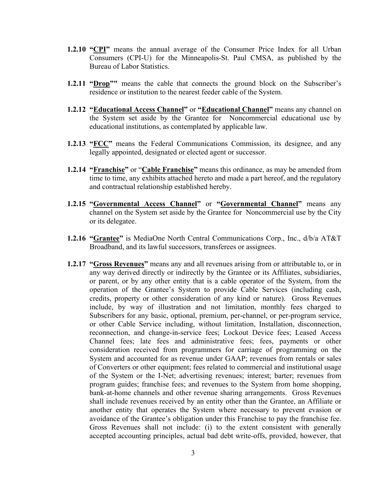- **1.2.10 "CPI"** means the annual average of the Consumer Price Index for all Urban Consumers (CPI-U) for the Minneapolis-St. Paul CMSA, as published by the Bureau of Labor Statistics.
- **1.2.11 "Drop""** means the cable that connects the ground block on the Subscriber's residence or institution to the nearest feeder cable of the System.
- **1.2.12 "Educational Access Channel"** or "**Educational Channel"** means any channel on the System set aside by the Grantee for Noncommercial educational use by educational institutions, as contemplated by applicable law.
- **1.2.13 "FCC"** means the Federal Communications Commission, its designee, and any legally appointed, designated or elected agent or successor.
- **1.2.14 "Franchise"** or "**Cable Franchise"** means this ordinance, as may be amended from time to time, any exhibits attached hereto and made a part hereof, and the regulatory and contractual relationship established hereby.
- **1.2.15 "Governmental Access Channel"** or **"Governmental Channel"** means any channel on the System set aside by the Grantee for Noncommercial use by the City or its delegatee.
- **1.2.16 "Grantee"** is MediaOne North Central Communications Corp., Inc.,  $d/b/a AT&T$ Broadband, and its lawful successors, transferees or assignees.
- **1.2.17 "Gross Revenues"** means any and all revenues arising from or attributable to, or in any way derived directly or indirectly by the Grantee or its Affiliates, subsidiaries, or parent, or by any other entity that is a cable operator of the System, from the operation of the Grantee's System to provide Cable Services (including cash, credits, property or other consideration of any kind or nature). Gross Revenues include, by way of illustration and not limitation, monthly fees charged to Subscribers for any basic, optional, premium, per-channel, or per-program service, or other Cable Service including, without limitation, Installation, disconnection, reconnection, and change-in-service fees; Lockout Device fees; Leased Access Channel fees; late fees and administrative fees; fees, payments or other consideration received from programmers for carriage of programming on the System and accounted for as revenue under GAAP; revenues from rentals or sales of Converters or other equipment; fees related to commercial and institutional usage of the System or the I-Net; advertising revenues; interest; barter; revenues from program guides; franchise fees; and revenues to the System from home shopping, bank-at-home channels and other revenue sharing arrangements. Gross Revenues shall include revenues received by an entity other than the Grantee, an Affiliate or another entity that operates the System where necessary to prevent evasion or avoidance of the Grantee's obligation under this Franchise to pay the franchise fee. Gross Revenues shall not include: (i) to the extent consistent with generally accepted accounting principles, actual bad debt write-offs, provided, however, that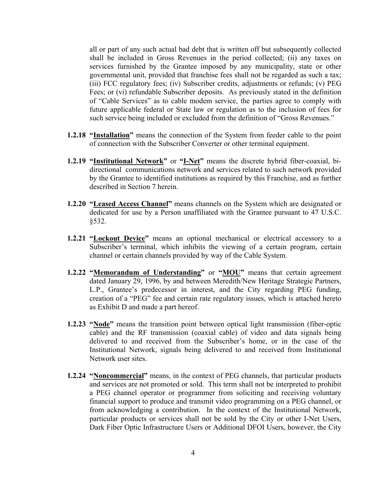all or part of any such actual bad debt that is written off but subsequently collected shall be included in Gross Revenues in the period collected; (ii) any taxes on services furnished by the Grantee imposed by any municipality, state or other governmental unit, provided that franchise fees shall not be regarded as such a tax; (iii) FCC regulatory fees; (iv) Subscriber credits, adjustments or refunds; (v) PEG Fees; or (vi) refundable Subscriber deposits. As previously stated in the definition of "Cable Services" as to cable modem service, the parties agree to comply with future applicable federal or State law or regulation as to the inclusion of fees for such service being included or excluded from the definition of "Gross Revenues."

- **1.2.18 "Installation"** means the connection of the System from feeder cable to the point of connection with the Subscriber Converter or other terminal equipment.
- **1.2.19 "Institutional Network"** or **"I-Net"** means the discrete hybrid fiber-coaxial, bidirectional communications network and services related to such network provided by the Grantee to identified institutions as required by this Franchise, and as further described in Section 7 herein.
- **1.2.20 "Leased Access Channel"** means channels on the System which are designated or dedicated for use by a Person unaffiliated with the Grantee pursuant to 47 U.S.C. §532.
- **1.2.21 "Lockout Device"** means an optional mechanical or electrical accessory to a Subscriber's terminal, which inhibits the viewing of a certain program, certain channel or certain channels provided by way of the Cable System.
- **1.2.22 "Memorandum of Understanding"** or "MOU" means that certain agreement dated January 29, 1996, by and between Meredith/New Heritage Strategic Partners, L.P., Grantee's predecessor in interest, and the City regarding PEG funding, creation of a "PEG" fee and certain rate regulatory issues, which is attached hereto as Exhibit D and made a part hereof.
- **1.2.23 "Node"** means the transition point between optical light transmission (fiber-optic cable) and the RF transmission (coaxial cable) of video and data signals being delivered to and received from the Subscriber's home, or in the case of the Institutional Network, signals being delivered to and received from Institutional Network user sites.
- **1.2.24 "Noncommercial"** means, in the context of PEG channels, that particular products and services are not promoted or sold. This term shall not be interpreted to prohibit a PEG channel operator or programmer from soliciting and receiving voluntary financial support to produce and transmit video programming on a PEG channel, or from acknowledging a contribution. In the context of the Institutional Network, particular products or services shall not be sold by the City or other I-Net Users, Dark Fiber Optic Infrastructure Users or Additional DFOI Users, however, the City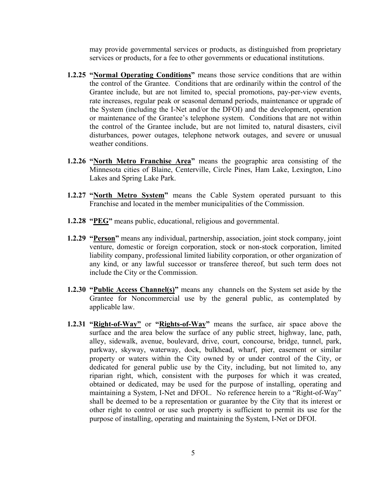may provide governmental services or products, as distinguished from proprietary services or products, for a fee to other governments or educational institutions.

- **1.2.25 "Normal Operating Conditions"** means those service conditions that are within the control of the Grantee. Conditions that are ordinarily within the control of the Grantee include, but are not limited to, special promotions, pay-per-view events, rate increases, regular peak or seasonal demand periods, maintenance or upgrade of the System (including the I-Net and/or the DFOI) and the development, operation or maintenance of the Grantee's telephone system. Conditions that are not within the control of the Grantee include, but are not limited to, natural disasters, civil disturbances, power outages, telephone network outages, and severe or unusual weather conditions.
- **1.2.26 "North Metro Franchise Area"** means the geographic area consisting of the Minnesota cities of Blaine, Centerville, Circle Pines, Ham Lake, Lexington, Lino Lakes and Spring Lake Park.
- **1.2.27 "North Metro System"** means the Cable System operated pursuant to this Franchise and located in the member municipalities of the Commission.
- **1.2.28 "PEG"** means public, educational, religious and governmental.
- **1.2.29 "Person"** means any individual, partnership, association, joint stock company, joint venture, domestic or foreign corporation, stock or non-stock corporation, limited liability company, professional limited liability corporation, or other organization of any kind, or any lawful successor or transferee thereof, but such term does not include the City or the Commission.
- **1.2.30 "Public Access Channel(s)"** means any channels on the System set aside by the Grantee for Noncommercial use by the general public, as contemplated by applicable law.
- **1.2.31 "Right-of-Way"** or **"Rights-of-Way"** means the surface, air space above the surface and the area below the surface of any public street, highway, lane, path, alley, sidewalk, avenue, boulevard, drive, court, concourse, bridge, tunnel, park, parkway, skyway, waterway, dock, bulkhead, wharf, pier, easement or similar property or waters within the City owned by or under control of the City, or dedicated for general public use by the City, including, but not limited to, any riparian right, which, consistent with the purposes for which it was created, obtained or dedicated, may be used for the purpose of installing, operating and maintaining a System, I-Net and DFOI.. No reference herein to a "Right-of-Way" shall be deemed to be a representation or guarantee by the City that its interest or other right to control or use such property is sufficient to permit its use for the purpose of installing, operating and maintaining the System, I-Net or DFOI.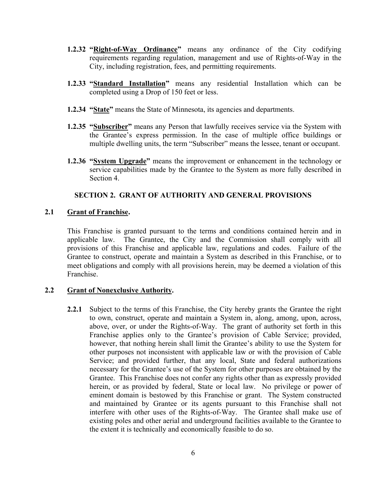- **1.2.32 "Right-of-Way Ordinance"** means any ordinance of the City codifying requirements regarding regulation, management and use of Rights-of-Way in the City, including registration, fees, and permitting requirements.
- **1.2.33 "Standard Installation"** means any residential Installation which can be completed using a Drop of 150 feet or less.
- **1.2.34 "State"** means the State of Minnesota, its agencies and departments.
- **1.2.35 "Subscriber"** means any Person that lawfully receives service via the System with the Grantee's express permission. In the case of multiple office buildings or multiple dwelling units, the term "Subscriber" means the lessee, tenant or occupant.
- **1.2.36 "System Upgrade"** means the improvement or enhancement in the technology or service capabilities made by the Grantee to the System as more fully described in Section 4.

### **SECTION 2. GRANT OF AUTHORITY AND GENERAL PROVISIONS**

#### **2.1 Grant of Franchise.**

This Franchise is granted pursuant to the terms and conditions contained herein and in applicable law. The Grantee, the City and the Commission shall comply with all provisions of this Franchise and applicable law, regulations and codes. Failure of the Grantee to construct, operate and maintain a System as described in this Franchise, or to meet obligations and comply with all provisions herein, may be deemed a violation of this Franchise.

#### **2.2 Grant of Nonexclusive Authority.**

**2.2.1** Subject to the terms of this Franchise, the City hereby grants the Grantee the right to own, construct, operate and maintain a System in, along, among, upon, across, above, over, or under the Rights-of-Way. The grant of authority set forth in this Franchise applies only to the Grantee's provision of Cable Service; provided, however, that nothing herein shall limit the Grantee's ability to use the System for other purposes not inconsistent with applicable law or with the provision of Cable Service; and provided further, that any local, State and federal authorizations necessary for the Grantee's use of the System for other purposes are obtained by the Grantee. This Franchise does not confer any rights other than as expressly provided herein, or as provided by federal, State or local law. No privilege or power of eminent domain is bestowed by this Franchise or grant. The System constructed and maintained by Grantee or its agents pursuant to this Franchise shall not interfere with other uses of the Rights-of-Way. The Grantee shall make use of existing poles and other aerial and underground facilities available to the Grantee to the extent it is technically and economically feasible to do so.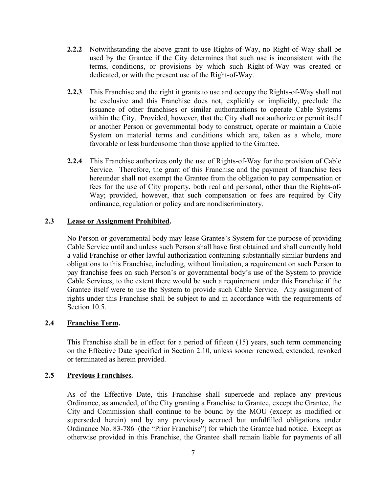- **2.2.2** Notwithstanding the above grant to use Rights-of-Way, no Right-of-Way shall be used by the Grantee if the City determines that such use is inconsistent with the terms, conditions, or provisions by which such Right-of-Way was created or dedicated, or with the present use of the Right-of-Way.
- **2.2.3** This Franchise and the right it grants to use and occupy the Rights-of-Way shall not be exclusive and this Franchise does not, explicitly or implicitly, preclude the issuance of other franchises or similar authorizations to operate Cable Systems within the City. Provided, however, that the City shall not authorize or permit itself or another Person or governmental body to construct, operate or maintain a Cable System on material terms and conditions which are, taken as a whole, more favorable or less burdensome than those applied to the Grantee.
- **2.2.4** This Franchise authorizes only the use of Rights-of-Way for the provision of Cable Service. Therefore, the grant of this Franchise and the payment of franchise fees hereunder shall not exempt the Grantee from the obligation to pay compensation or fees for the use of City property, both real and personal, other than the Rights-of-Way; provided, however, that such compensation or fees are required by City ordinance, regulation or policy and are nondiscriminatory.

#### **2.3 Lease or Assignment Prohibited.**

 No Person or governmental body may lease Grantee's System for the purpose of providing Cable Service until and unless such Person shall have first obtained and shall currently hold a valid Franchise or other lawful authorization containing substantially similar burdens and obligations to this Franchise, including, without limitation, a requirement on such Person to pay franchise fees on such Person's or governmental body's use of the System to provide Cable Services, to the extent there would be such a requirement under this Franchise if the Grantee itself were to use the System to provide such Cable Service. Any assignment of rights under this Franchise shall be subject to and in accordance with the requirements of Section 10.5.

### **2.4 Franchise Term.**

 This Franchise shall be in effect for a period of fifteen (15) years, such term commencing on the Effective Date specified in Section 2.10, unless sooner renewed, extended, revoked or terminated as herein provided.

#### **2.5 Previous Franchises.**

 As of the Effective Date, this Franchise shall supercede and replace any previous Ordinance, as amended, of the City granting a Franchise to Grantee, except the Grantee, the City and Commission shall continue to be bound by the MOU (except as modified or superseded herein) and by any previously accrued but unfulfilled obligations under Ordinance No. 83-786 (the "Prior Franchise") for which the Grantee had notice. Except as otherwise provided in this Franchise, the Grantee shall remain liable for payments of all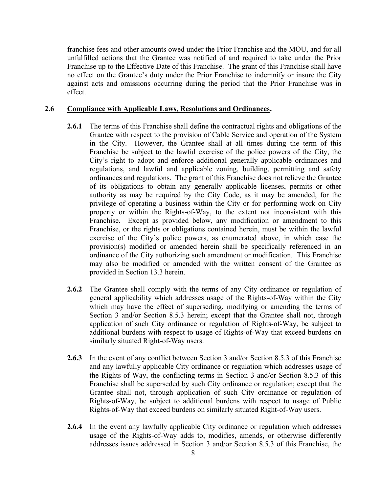franchise fees and other amounts owed under the Prior Franchise and the MOU, and for all unfulfilled actions that the Grantee was notified of and required to take under the Prior Franchise up to the Effective Date of this Franchise. The grant of this Franchise shall have no effect on the Grantee's duty under the Prior Franchise to indemnify or insure the City against acts and omissions occurring during the period that the Prior Franchise was in effect.

#### **2.6 Compliance with Applicable Laws, Resolutions and Ordinances.**

- **2.6.1** The terms of this Franchise shall define the contractual rights and obligations of the Grantee with respect to the provision of Cable Service and operation of the System in the City. However, the Grantee shall at all times during the term of this Franchise be subject to the lawful exercise of the police powers of the City, the City's right to adopt and enforce additional generally applicable ordinances and regulations, and lawful and applicable zoning, building, permitting and safety ordinances and regulations. The grant of this Franchise does not relieve the Grantee of its obligations to obtain any generally applicable licenses, permits or other authority as may be required by the City Code, as it may be amended, for the privilege of operating a business within the City or for performing work on City property or within the Rights-of-Way, to the extent not inconsistent with this Franchise. Except as provided below, any modification or amendment to this Franchise, or the rights or obligations contained herein, must be within the lawful exercise of the City's police powers, as enumerated above, in which case the provision(s) modified or amended herein shall be specifically referenced in an ordinance of the City authorizing such amendment or modification. This Franchise may also be modified or amended with the written consent of the Grantee as provided in Section 13.3 herein.
- **2.6.2** The Grantee shall comply with the terms of any City ordinance or regulation of general applicability which addresses usage of the Rights-of-Way within the City which may have the effect of superseding, modifying or amending the terms of Section 3 and/or Section 8.5.3 herein; except that the Grantee shall not, through application of such City ordinance or regulation of Rights-of-Way, be subject to additional burdens with respect to usage of Rights-of-Way that exceed burdens on similarly situated Right-of-Way users.
- **2.6.3** In the event of any conflict between Section 3 and/or Section 8.5.3 of this Franchise and any lawfully applicable City ordinance or regulation which addresses usage of the Rights-of-Way, the conflicting terms in Section 3 and/or Section 8.5.3 of this Franchise shall be superseded by such City ordinance or regulation; except that the Grantee shall not, through application of such City ordinance or regulation of Rights-of-Way, be subject to additional burdens with respect to usage of Public Rights-of-Way that exceed burdens on similarly situated Right-of-Way users.
- **2.6.4** In the event any lawfully applicable City ordinance or regulation which addresses usage of the Rights-of-Way adds to, modifies, amends, or otherwise differently addresses issues addressed in Section 3 and/or Section 8.5.3 of this Franchise, the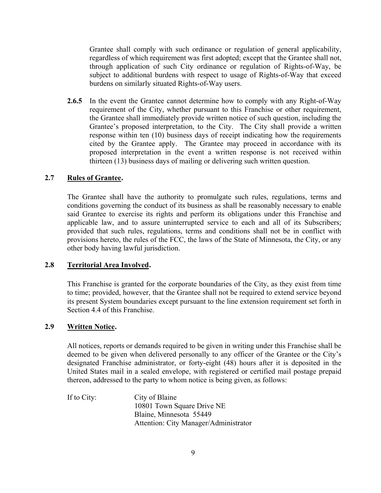Grantee shall comply with such ordinance or regulation of general applicability, regardless of which requirement was first adopted; except that the Grantee shall not, through application of such City ordinance or regulation of Rights-of-Way, be subject to additional burdens with respect to usage of Rights-of-Way that exceed burdens on similarly situated Rights-of-Way users.

**2.6.5** In the event the Grantee cannot determine how to comply with any Right-of-Way requirement of the City, whether pursuant to this Franchise or other requirement, the Grantee shall immediately provide written notice of such question, including the Grantee's proposed interpretation, to the City. The City shall provide a written response within ten (10) business days of receipt indicating how the requirements cited by the Grantee apply. The Grantee may proceed in accordance with its proposed interpretation in the event a written response is not received within thirteen (13) business days of mailing or delivering such written question.

### **2.7 Rules of Grantee.**

 The Grantee shall have the authority to promulgate such rules, regulations, terms and conditions governing the conduct of its business as shall be reasonably necessary to enable said Grantee to exercise its rights and perform its obligations under this Franchise and applicable law, and to assure uninterrupted service to each and all of its Subscribers; provided that such rules, regulations, terms and conditions shall not be in conflict with provisions hereto, the rules of the FCC, the laws of the State of Minnesota, the City, or any other body having lawful jurisdiction.

#### **2.8 Territorial Area Involved.**

 This Franchise is granted for the corporate boundaries of the City, as they exist from time to time; provided, however, that the Grantee shall not be required to extend service beyond its present System boundaries except pursuant to the line extension requirement set forth in Section 4.4 of this Franchise.

### **2.9 Written Notice.**

 All notices, reports or demands required to be given in writing under this Franchise shall be deemed to be given when delivered personally to any officer of the Grantee or the City's designated Franchise administrator, or forty-eight (48) hours after it is deposited in the United States mail in a sealed envelope, with registered or certified mail postage prepaid thereon, addressed to the party to whom notice is being given, as follows:

 If to City: City of Blaine 10801 Town Square Drive NE Blaine, Minnesota 55449 Attention: City Manager/Administrator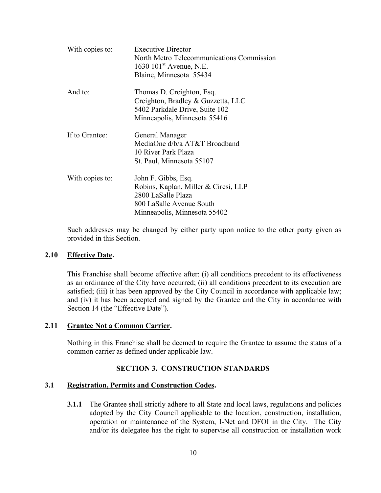| With copies to: | <b>Executive Director</b><br>North Metro Telecommunications Commission<br>1630 $101^{\text{st}}$ Avenue, N.E.<br>Blaine, Minnesota 55434      |
|-----------------|-----------------------------------------------------------------------------------------------------------------------------------------------|
| And to:         | Thomas D. Creighton, Esq.<br>Creighton, Bradley & Guzzetta, LLC<br>5402 Parkdale Drive, Suite 102<br>Minneapolis, Minnesota 55416             |
| If to Grantee:  | General Manager<br>MediaOne d/b/a AT&T Broadband<br>10 River Park Plaza<br>St. Paul, Minnesota 55107                                          |
| With copies to: | John F. Gibbs, Esq.<br>Robins, Kaplan, Miller & Ciresi, LLP<br>2800 LaSalle Plaza<br>800 LaSalle Avenue South<br>Minneapolis, Minnesota 55402 |

Such addresses may be changed by either party upon notice to the other party given as provided in this Section.

### **2.10 Effective Date.**

 This Franchise shall become effective after: (i) all conditions precedent to its effectiveness as an ordinance of the City have occurred; (ii) all conditions precedent to its execution are satisfied; (iii) it has been approved by the City Council in accordance with applicable law; and (iv) it has been accepted and signed by the Grantee and the City in accordance with Section 14 (the "Effective Date").

#### **2.11 Grantee Not a Common Carrier.**

Nothing in this Franchise shall be deemed to require the Grantee to assume the status of a common carrier as defined under applicable law.

#### **SECTION 3. CONSTRUCTION STANDARDS**

#### **3.1 Registration, Permits and Construction Codes.**

**3.1.1** The Grantee shall strictly adhere to all State and local laws, regulations and policies adopted by the City Council applicable to the location, construction, installation, operation or maintenance of the System, I-Net and DFOI in the City. The City and/or its delegatee has the right to supervise all construction or installation work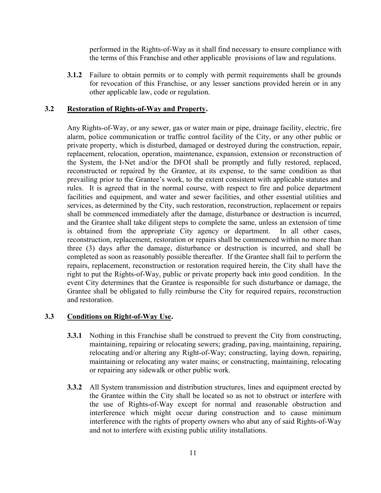performed in the Rights-of-Way as it shall find necessary to ensure compliance with the terms of this Franchise and other applicable provisions of law and regulations.

**3.1.2** Failure to obtain permits or to comply with permit requirements shall be grounds for revocation of this Franchise, or any lesser sanctions provided herein or in any other applicable law, code or regulation.

### **3.2 Restoration of Rights-of-Way and Property.**

 Any Rights-of-Way, or any sewer, gas or water main or pipe, drainage facility, electric, fire alarm, police communication or traffic control facility of the City, or any other public or private property, which is disturbed, damaged or destroyed during the construction, repair, replacement, relocation, operation, maintenance, expansion, extension or reconstruction of the System, the I-Net and/or the DFOI shall be promptly and fully restored, replaced, reconstructed or repaired by the Grantee, at its expense, to the same condition as that prevailing prior to the Grantee's work, to the extent consistent with applicable statutes and rules. It is agreed that in the normal course, with respect to fire and police department facilities and equipment, and water and sewer facilities, and other essential utilities and services, as determined by the City, such restoration, reconstruction, replacement or repairs shall be commenced immediately after the damage, disturbance or destruction is incurred, and the Grantee shall take diligent steps to complete the same, unless an extension of time is obtained from the appropriate City agency or department. In all other cases, reconstruction, replacement, restoration or repairs shall be commenced within no more than three (3) days after the damage, disturbance or destruction is incurred, and shall be completed as soon as reasonably possible thereafter. If the Grantee shall fail to perform the repairs, replacement, reconstruction or restoration required herein, the City shall have the right to put the Rights-of-Way, public or private property back into good condition. In the event City determines that the Grantee is responsible for such disturbance or damage, the Grantee shall be obligated to fully reimburse the City for required repairs, reconstruction and restoration.

# **3.3 Conditions on Right-of-Way Use.**

- **3.3.1** Nothing in this Franchise shall be construed to prevent the City from constructing, maintaining, repairing or relocating sewers; grading, paving, maintaining, repairing, relocating and/or altering any Right-of-Way; constructing, laying down, repairing, maintaining or relocating any water mains; or constructing, maintaining, relocating or repairing any sidewalk or other public work.
- **3.3.2** All System transmission and distribution structures, lines and equipment erected by the Grantee within the City shall be located so as not to obstruct or interfere with the use of Rights-of-Way except for normal and reasonable obstruction and interference which might occur during construction and to cause minimum interference with the rights of property owners who abut any of said Rights-of-Way and not to interfere with existing public utility installations.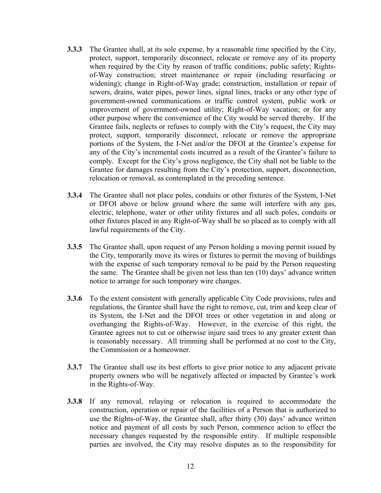- **3.3.3** The Grantee shall, at its sole expense, by a reasonable time specified by the City, protect, support, temporarily disconnect, relocate or remove any of its property when required by the City by reason of traffic conditions; public safety; Rightsof-Way construction; street maintenance or repair (including resurfacing or widening); change in Right-of-Way grade; construction, installation or repair of sewers, drains, water pipes, power lines, signal lines, tracks or any other type of government-owned communications or traffic control system, public work or improvement of government-owned utility; Right-of-Way vacation; or for any other purpose where the convenience of the City would be served thereby. If the Grantee fails, neglects or refuses to comply with the City's request, the City may protect, support, temporarily disconnect, relocate or remove the appropriate portions of the System, the I-Net and/or the DFOI at the Grantee's expense for any of the City's incremental costs incurred as a result of the Grantee's failure to comply. Except for the City's gross negligence, the City shall not be liable to the Grantee for damages resulting from the City's protection, support, disconnection, relocation or removal, as contemplated in the preceding sentence.
- **3.3.4** The Grantee shall not place poles, conduits or other fixtures of the System, I-Net or DFOI above or below ground where the same will interfere with any gas, electric, telephone, water or other utility fixtures and all such poles, conduits or other fixtures placed in any Right-of-Way shall be so placed as to comply with all lawful requirements of the City.
- **3.3.5** The Grantee shall, upon request of any Person holding a moving permit issued by the City, temporarily move its wires or fixtures to permit the moving of buildings with the expense of such temporary removal to be paid by the Person requesting the same. The Grantee shall be given not less than ten (10) days' advance written notice to arrange for such temporary wire changes.
- **3.3.6** To the extent consistent with generally applicable City Code provisions, rules and regulations, the Grantee shall have the right to remove, cut, trim and keep clear of its System, the I-Net and the DFOI trees or other vegetation in and along or overhanging the Rights-of-Way. However, in the exercise of this right, the Grantee agrees not to cut or otherwise injure said trees to any greater extent than is reasonably necessary. All trimming shall be performed at no cost to the City, the Commission or a homeowner.
- **3.3.7** The Grantee shall use its best efforts to give prior notice to any adjacent private property owners who will be negatively affected or impacted by Grantee's work in the Rights-of-Way.
- **3.3.8** If any removal, relaying or relocation is required to accommodate the construction, operation or repair of the facilities of a Person that is authorized to use the Rights-of-Way, the Grantee shall, after thirty (30) days' advance written notice and payment of all costs by such Person, commence action to effect the necessary changes requested by the responsible entity. If multiple responsible parties are involved, the City may resolve disputes as to the responsibility for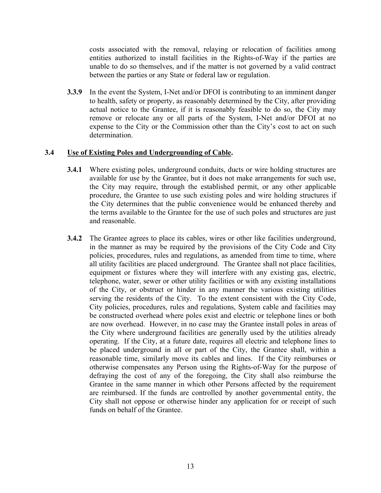costs associated with the removal, relaying or relocation of facilities among entities authorized to install facilities in the Rights-of-Way if the parties are unable to do so themselves, and if the matter is not governed by a valid contract between the parties or any State or federal law or regulation.

**3.3.9** In the event the System, I-Net and/or DFOI is contributing to an imminent danger to health, safety or property, as reasonably determined by the City, after providing actual notice to the Grantee, if it is reasonably feasible to do so, the City may remove or relocate any or all parts of the System, I-Net and/or DFOI at no expense to the City or the Commission other than the City's cost to act on such determination.

# **3.4 Use of Existing Poles and Undergrounding of Cable.**

- **3.4.1** Where existing poles, underground conduits, ducts or wire holding structures are available for use by the Grantee, but it does not make arrangements for such use, the City may require, through the established permit, or any other applicable procedure, the Grantee to use such existing poles and wire holding structures if the City determines that the public convenience would be enhanced thereby and the terms available to the Grantee for the use of such poles and structures are just and reasonable.
- **3.4.2** The Grantee agrees to place its cables, wires or other like facilities underground, in the manner as may be required by the provisions of the City Code and City policies, procedures, rules and regulations, as amended from time to time, where all utility facilities are placed underground. The Grantee shall not place facilities, equipment or fixtures where they will interfere with any existing gas, electric, telephone, water, sewer or other utility facilities or with any existing installations of the City, or obstruct or hinder in any manner the various existing utilities serving the residents of the City. To the extent consistent with the City Code, City policies, procedures, rules and regulations, System cable and facilities may be constructed overhead where poles exist and electric or telephone lines or both are now overhead. However, in no case may the Grantee install poles in areas of the City where underground facilities are generally used by the utilities already operating. If the City, at a future date, requires all electric and telephone lines to be placed underground in all or part of the City, the Grantee shall, within a reasonable time, similarly move its cables and lines. If the City reimburses or otherwise compensates any Person using the Rights-of-Way for the purpose of defraying the cost of any of the foregoing, the City shall also reimburse the Grantee in the same manner in which other Persons affected by the requirement are reimbursed. If the funds are controlled by another governmental entity, the City shall not oppose or otherwise hinder any application for or receipt of such funds on behalf of the Grantee.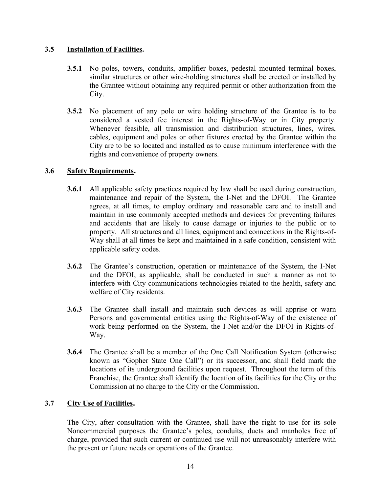# **3.5 Installation of Facilities.**

- **3.5.1** No poles, towers, conduits, amplifier boxes, pedestal mounted terminal boxes, similar structures or other wire-holding structures shall be erected or installed by the Grantee without obtaining any required permit or other authorization from the City.
- **3.5.2** No placement of any pole or wire holding structure of the Grantee is to be considered a vested fee interest in the Rights-of-Way or in City property. Whenever feasible, all transmission and distribution structures, lines, wires, cables, equipment and poles or other fixtures erected by the Grantee within the City are to be so located and installed as to cause minimum interference with the rights and convenience of property owners.

# **3.6 Safety Requirements.**

- **3.6.1** All applicable safety practices required by law shall be used during construction, maintenance and repair of the System, the I-Net and the DFOI. The Grantee agrees, at all times, to employ ordinary and reasonable care and to install and maintain in use commonly accepted methods and devices for preventing failures and accidents that are likely to cause damage or injuries to the public or to property. All structures and all lines, equipment and connections in the Rights-of-Way shall at all times be kept and maintained in a safe condition, consistent with applicable safety codes.
- **3.6.2** The Grantee's construction, operation or maintenance of the System, the I-Net and the DFOI, as applicable, shall be conducted in such a manner as not to interfere with City communications technologies related to the health, safety and welfare of City residents.
- **3.6.3** The Grantee shall install and maintain such devices as will apprise or warn Persons and governmental entities using the Rights-of-Way of the existence of work being performed on the System, the I-Net and/or the DFOI in Rights-of-Way.
- **3.6.4** The Grantee shall be a member of the One Call Notification System (otherwise known as "Gopher State One Call") or its successor, and shall field mark the locations of its underground facilities upon request. Throughout the term of this Franchise, the Grantee shall identify the location of its facilities for the City or the Commission at no charge to the City or the Commission.

# **3.7 City Use of Facilities.**

 The City, after consultation with the Grantee, shall have the right to use for its sole Noncommercial purposes the Grantee's poles, conduits, ducts and manholes free of charge, provided that such current or continued use will not unreasonably interfere with the present or future needs or operations of the Grantee.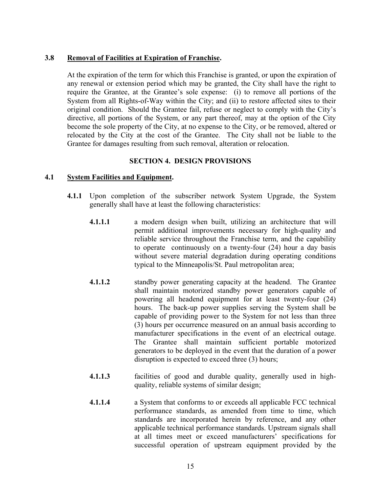# **3.8 Removal of Facilities at Expiration of Franchise.**

 At the expiration of the term for which this Franchise is granted, or upon the expiration of any renewal or extension period which may be granted, the City shall have the right to require the Grantee, at the Grantee's sole expense: (i) to remove all portions of the System from all Rights-of-Way within the City; and (ii) to restore affected sites to their original condition. Should the Grantee fail, refuse or neglect to comply with the City's directive, all portions of the System, or any part thereof, may at the option of the City become the sole property of the City, at no expense to the City, or be removed, altered or relocated by the City at the cost of the Grantee. The City shall not be liable to the Grantee for damages resulting from such removal, alteration or relocation.

# **SECTION 4. DESIGN PROVISIONS**

### **4.1 System Facilities and Equipment.**

- **4.1.1** Upon completion of the subscriber network System Upgrade, the System generally shall have at least the following characteristics:
	- **4.1.1.1** a modern design when built, utilizing an architecture that will permit additional improvements necessary for high-quality and reliable service throughout the Franchise term, and the capability to operate continuously on a twenty-four (24) hour a day basis without severe material degradation during operating conditions typical to the Minneapolis/St. Paul metropolitan area;
	- **4.1.1.2** standby power generating capacity at the headend. The Grantee shall maintain motorized standby power generators capable of powering all headend equipment for at least twenty-four (24) hours. The back-up power supplies serving the System shall be capable of providing power to the System for not less than three (3) hours per occurrence measured on an annual basis according to manufacturer specifications in the event of an electrical outage. The Grantee shall maintain sufficient portable motorized generators to be deployed in the event that the duration of a power disruption is expected to exceed three (3) hours;
	- **4.1.1.3** facilities of good and durable quality, generally used in highquality, reliable systems of similar design;
	- **4.1.1.4** a System that conforms to or exceeds all applicable FCC technical performance standards, as amended from time to time, which standards are incorporated herein by reference, and any other applicable technical performance standards. Upstream signals shall at all times meet or exceed manufacturers' specifications for successful operation of upstream equipment provided by the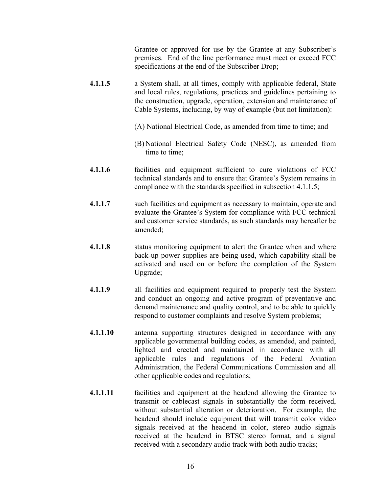Grantee or approved for use by the Grantee at any Subscriber's premises. End of the line performance must meet or exceed FCC specifications at the end of the Subscriber Drop;

- **4.1.1.5** a System shall, at all times, comply with applicable federal, State and local rules, regulations, practices and guidelines pertaining to the construction, upgrade, operation, extension and maintenance of Cable Systems, including, by way of example (but not limitation):
	- (A) National Electrical Code, as amended from time to time; and
	- (B) National Electrical Safety Code (NESC), as amended from time to time;
- **4.1.1.6** facilities and equipment sufficient to cure violations of FCC technical standards and to ensure that Grantee's System remains in compliance with the standards specified in subsection 4.1.1.5;
- **4.1.1.7** such facilities and equipment as necessary to maintain, operate and evaluate the Grantee's System for compliance with FCC technical and customer service standards, as such standards may hereafter be amended;
- **4.1.1.8** status monitoring equipment to alert the Grantee when and where back-up power supplies are being used, which capability shall be activated and used on or before the completion of the System Upgrade;
- **4.1.1.9** all facilities and equipment required to properly test the System and conduct an ongoing and active program of preventative and demand maintenance and quality control, and to be able to quickly respond to customer complaints and resolve System problems;
- **4.1.1.10** antenna supporting structures designed in accordance with any applicable governmental building codes, as amended, and painted, lighted and erected and maintained in accordance with all applicable rules and regulations of the Federal Aviation Administration, the Federal Communications Commission and all other applicable codes and regulations;
- **4.1.1.11** facilities and equipment at the headend allowing the Grantee to transmit or cablecast signals in substantially the form received, without substantial alteration or deterioration. For example, the headend should include equipment that will transmit color video signals received at the headend in color, stereo audio signals received at the headend in BTSC stereo format, and a signal received with a secondary audio track with both audio tracks;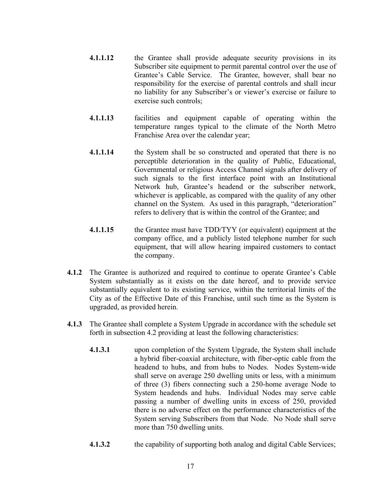- **4.1.1.12** the Grantee shall provide adequate security provisions in its Subscriber site equipment to permit parental control over the use of Grantee's Cable Service. The Grantee, however, shall bear no responsibility for the exercise of parental controls and shall incur no liability for any Subscriber's or viewer's exercise or failure to exercise such controls;
- **4.1.1.13** facilities and equipment capable of operating within the temperature ranges typical to the climate of the North Metro Franchise Area over the calendar year;
- **4.1.1.14** the System shall be so constructed and operated that there is no perceptible deterioration in the quality of Public, Educational, Governmental or religious Access Channel signals after delivery of such signals to the first interface point with an Institutional Network hub, Grantee's headend or the subscriber network, whichever is applicable, as compared with the quality of any other channel on the System. As used in this paragraph, "deterioration" refers to delivery that is within the control of the Grantee; and
- **4.1.1.15** the Grantee must have TDD/TYY (or equivalent) equipment at the company office, and a publicly listed telephone number for such equipment, that will allow hearing impaired customers to contact the company.
- **4.1.2** The Grantee is authorized and required to continue to operate Grantee's Cable System substantially as it exists on the date hereof, and to provide service substantially equivalent to its existing service, within the territorial limits of the City as of the Effective Date of this Franchise, until such time as the System is upgraded, as provided herein.
- **4.1.3** The Grantee shall complete a System Upgrade in accordance with the schedule set forth in subsection 4.2 providing at least the following characteristics:
	- **4.1.3.1** upon completion of the System Upgrade, the System shall include a hybrid fiber-coaxial architecture, with fiber-optic cable from the headend to hubs, and from hubs to Nodes. Nodes System-wide shall serve on average 250 dwelling units or less, with a minimum of three (3) fibers connecting such a 250-home average Node to System headends and hubs. Individual Nodes may serve cable passing a number of dwelling units in excess of 250, provided there is no adverse effect on the performance characteristics of the System serving Subscribers from that Node. No Node shall serve more than 750 dwelling units.
	- **4.1.3.2** the capability of supporting both analog and digital Cable Services;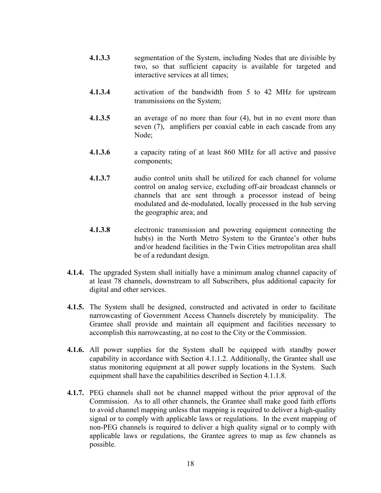- **4.1.3.3** segmentation of the System, including Nodes that are divisible by two, so that sufficient capacity is available for targeted and interactive services at all times;
- **4.1.3.4** activation of the bandwidth from 5 to 42 MHz for upstream transmissions on the System;
- **4.1.3.5** an average of no more than four (4), but in no event more than seven (7), amplifiers per coaxial cable in each cascade from any Node;
- **4.1.3.6** a capacity rating of at least 860 MHz for all active and passive components;
- **4.1.3.7** audio control units shall be utilized for each channel for volume control on analog service, excluding off-air broadcast channels or channels that are sent through a processor instead of being modulated and de-modulated, locally processed in the hub serving the geographic area; and
- **4.1.3.8** electronic transmission and powering equipment connecting the hub(s) in the North Metro System to the Grantee's other hubs and/or headend facilities in the Twin Cities metropolitan area shall be of a redundant design.
- **4.1.4.** The upgraded System shall initially have a minimum analog channel capacity of at least 78 channels, downstream to all Subscribers, plus additional capacity for digital and other services.
- **4.1.5.** The System shall be designed, constructed and activated in order to facilitate narrowcasting of Government Access Channels discretely by municipality. The Grantee shall provide and maintain all equipment and facilities necessary to accomplish this narrowcasting, at no cost to the City or the Commission.
- **4.1.6.** All power supplies for the System shall be equipped with standby power capability in accordance with Section 4.1.1.2. Additionally, the Grantee shall use status monitoring equipment at all power supply locations in the System. Such equipment shall have the capabilities described in Section 4.1.1.8.
- **4.1.7.** PEG channels shall not be channel mapped without the prior approval of the Commission. As to all other channels, the Grantee shall make good faith efforts to avoid channel mapping unless that mapping is required to deliver a high-quality signal or to comply with applicable laws or regulations. In the event mapping of non-PEG channels is required to deliver a high quality signal or to comply with applicable laws or regulations, the Grantee agrees to map as few channels as possible.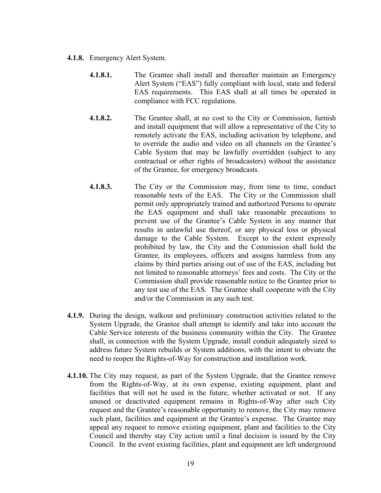- **4.1.8.** Emergency Alert System.
	- **4.1.8.1.** The Grantee shall install and thereafter maintain an Emergency Alert System ("EAS") fully compliant with local, state and federal EAS requirements. This EAS shall at all times be operated in compliance with FCC regulations.
	- **4.1.8.2.** The Grantee shall, at no cost to the City or Commission, furnish and install equipment that will allow a representative of the City to remotely activate the EAS, including activation by telephone, and to override the audio and video on all channels on the Grantee's Cable System that may be lawfully overridden (subject to any contractual or other rights of broadcasters) without the assistance of the Grantee, for emergency broadcasts.
	- **4.1.8.3.** The City or the Commission may, from time to time, conduct reasonable tests of the EAS. The City or the Commission shall permit only appropriately trained and authorized Persons to operate the EAS equipment and shall take reasonable precautions to prevent use of the Grantee's Cable System in any manner that results in unlawful use thereof, or any physical loss or physical damage to the Cable System. Except to the extent expressly prohibited by law, the City and the Commission shall hold the Grantee, its employees, officers and assigns harmless from any claims by third parties arising out of use of the EAS, including but not limited to reasonable attorneys' fees and costs. The City or the Commission shall provide reasonable notice to the Grantee prior to any test use of the EAS. The Grantee shall cooperate with the City and/or the Commission in any such test.
- **4.1.9.** During the design, walkout and preliminary construction activities related to the System Upgrade, the Grantee shall attempt to identify and take into account the Cable Service interests of the business community within the City. The Grantee shall, in connection with the System Upgrade, install conduit adequately sized to address future System rebuilds or System additions, with the intent to obviate the need to reopen the Rights-of-Way for construction and installation work.
- **4.1.10.** The City may request, as part of the System Upgrade, that the Grantee remove from the Rights-of-Way, at its own expense, existing equipment, plant and facilities that will not be used in the future, whether activated or not. If any unused or deactivated equipment remains in Rights-of-Way after such City request and the Grantee's reasonable opportunity to remove, the City may remove such plant, facilities and equipment at the Grantee's expense. The Grantee may appeal any request to remove existing equipment, plant and facilities to the City Council and thereby stay City action until a final decision is issued by the City Council. In the event existing facilities, plant and equipment are left underground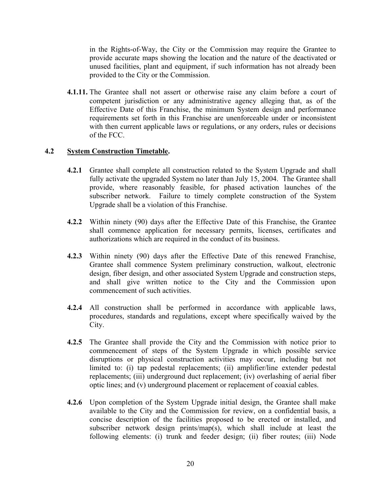in the Rights-of-Way, the City or the Commission may require the Grantee to provide accurate maps showing the location and the nature of the deactivated or unused facilities, plant and equipment, if such information has not already been provided to the City or the Commission.

**4.1.11.** The Grantee shall not assert or otherwise raise any claim before a court of competent jurisdiction or any administrative agency alleging that, as of the Effective Date of this Franchise, the minimum System design and performance requirements set forth in this Franchise are unenforceable under or inconsistent with then current applicable laws or regulations, or any orders, rules or decisions of the FCC.

# **4.2 System Construction Timetable.**

- **4.2.1** Grantee shall complete all construction related to the System Upgrade and shall fully activate the upgraded System no later than July 15, 2004. The Grantee shall provide, where reasonably feasible, for phased activation launches of the subscriber network. Failure to timely complete construction of the System Upgrade shall be a violation of this Franchise.
- **4.2.2** Within ninety (90) days after the Effective Date of this Franchise, the Grantee shall commence application for necessary permits, licenses, certificates and authorizations which are required in the conduct of its business.
- **4.2.3** Within ninety (90) days after the Effective Date of this renewed Franchise, Grantee shall commence System preliminary construction, walkout, electronic design, fiber design, and other associated System Upgrade and construction steps, and shall give written notice to the City and the Commission upon commencement of such activities.
- **4.2.4** All construction shall be performed in accordance with applicable laws, procedures, standards and regulations, except where specifically waived by the City.
- **4.2.5** The Grantee shall provide the City and the Commission with notice prior to commencement of steps of the System Upgrade in which possible service disruptions or physical construction activities may occur, including but not limited to: (i) tap pedestal replacements; (ii) amplifier/line extender pedestal replacements; (iii) underground duct replacement; (iv) overlashing of aerial fiber optic lines; and (v) underground placement or replacement of coaxial cables.
- **4.2.6** Upon completion of the System Upgrade initial design, the Grantee shall make available to the City and the Commission for review, on a confidential basis, a concise description of the facilities proposed to be erected or installed, and subscriber network design prints/map(s), which shall include at least the following elements: (i) trunk and feeder design; (ii) fiber routes; (iii) Node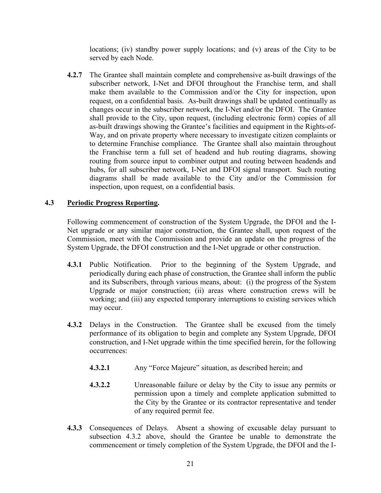locations; (iv) standby power supply locations; and (v) areas of the City to be served by each Node.

**4.2.7** The Grantee shall maintain complete and comprehensive as-built drawings of the subscriber network, I-Net and DFOI throughout the Franchise term, and shall make them available to the Commission and/or the City for inspection, upon request, on a confidential basis. As-built drawings shall be updated continually as changes occur in the subscriber network, the I-Net and/or the DFOI. The Grantee shall provide to the City, upon request, (including electronic form) copies of all as-built drawings showing the Grantee's facilities and equipment in the Rights-of-Way, and on private property where necessary to investigate citizen complaints or to determine Franchise compliance. The Grantee shall also maintain throughout the Franchise term a full set of headend and hub routing diagrams, showing routing from source input to combiner output and routing between headends and hubs, for all subscriber network, I-Net and DFOI signal transport. Such routing diagrams shall be made available to the City and/or the Commission for inspection, upon request, on a confidential basis.

### **4.3 Periodic Progress Reporting.**

 Following commencement of construction of the System Upgrade, the DFOI and the I-Net upgrade or any similar major construction, the Grantee shall, upon request of the Commission, meet with the Commission and provide an update on the progress of the System Upgrade, the DFOI construction and the I-Net upgrade or other construction.

- **4.3.1** Public Notification. Prior to the beginning of the System Upgrade, and periodically during each phase of construction, the Grantee shall inform the public and its Subscribers, through various means, about: (i) the progress of the System Upgrade or major construction; (ii) areas where construction crews will be working; and (iii) any expected temporary interruptions to existing services which may occur.
- **4.3.2** Delays in the Construction. The Grantee shall be excused from the timely performance of its obligation to begin and complete any System Upgrade, DFOI construction, and I-Net upgrade within the time specified herein, for the following occurrences:
	- **4.3.2.1** Any "Force Majeure" situation, as described herein; and
	- **4.3.2.2** Unreasonable failure or delay by the City to issue any permits or permission upon a timely and complete application submitted to the City by the Grantee or its contractor representative and tender of any required permit fee.
- **4.3.3** Consequences of Delays. Absent a showing of excusable delay pursuant to subsection 4.3.2 above, should the Grantee be unable to demonstrate the commencement or timely completion of the System Upgrade, the DFOI and the I-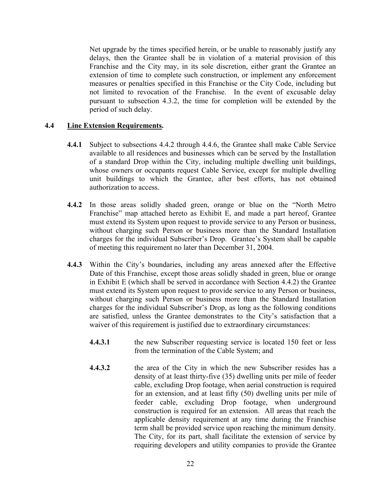Net upgrade by the times specified herein, or be unable to reasonably justify any delays, then the Grantee shall be in violation of a material provision of this Franchise and the City may, in its sole discretion, either grant the Grantee an extension of time to complete such construction, or implement any enforcement measures or penalties specified in this Franchise or the City Code, including but not limited to revocation of the Franchise. In the event of excusable delay pursuant to subsection 4.3.2, the time for completion will be extended by the period of such delay.

### **4.4 Line Extension Requirements.**

- **4.4.1** Subject to subsections 4.4.2 through 4.4.6, the Grantee shall make Cable Service available to all residences and businesses which can be served by the Installation of a standard Drop within the City, including multiple dwelling unit buildings, whose owners or occupants request Cable Service, except for multiple dwelling unit buildings to which the Grantee, after best efforts, has not obtained authorization to access.
- **4.4.2** In those areas solidly shaded green, orange or blue on the "North Metro Franchise" map attached hereto as Exhibit E, and made a part hereof, Grantee must extend its System upon request to provide service to any Person or business, without charging such Person or business more than the Standard Installation charges for the individual Subscriber's Drop. Grantee's System shall be capable of meeting this requirement no later than December 31, 2004.
- **4.4.3** Within the City's boundaries, including any areas annexed after the Effective Date of this Franchise, except those areas solidly shaded in green, blue or orange in Exhibit E (which shall be served in accordance with Section 4.4.2) the Grantee must extend its System upon request to provide service to any Person or business, without charging such Person or business more than the Standard Installation charges for the individual Subscriber's Drop, as long as the following conditions are satisfied, unless the Grantee demonstrates to the City's satisfaction that a waiver of this requirement is justified due to extraordinary circumstances:
	- **4.4.3.1** the new Subscriber requesting service is located 150 feet or less from the termination of the Cable System; and
	- **4.4.3.2** the area of the City in which the new Subscriber resides has a density of at least thirty-five (35) dwelling units per mile of feeder cable, excluding Drop footage, when aerial construction is required for an extension, and at least fifty (50) dwelling units per mile of feeder cable, excluding Drop footage, when underground construction is required for an extension. All areas that reach the applicable density requirement at any time during the Franchise term shall be provided service upon reaching the minimum density. The City, for its part, shall facilitate the extension of service by requiring developers and utility companies to provide the Grantee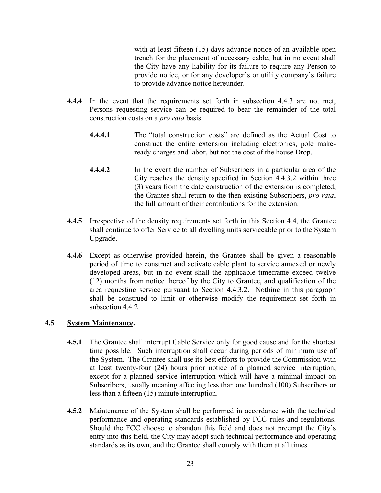with at least fifteen (15) days advance notice of an available open trench for the placement of necessary cable, but in no event shall the City have any liability for its failure to require any Person to provide notice, or for any developer's or utility company's failure to provide advance notice hereunder.

- **4.4.4** In the event that the requirements set forth in subsection 4.4.3 are not met, Persons requesting service can be required to bear the remainder of the total construction costs on a *pro rata* basis.
	- **4.4.4.1** The "total construction costs" are defined as the Actual Cost to construct the entire extension including electronics, pole makeready charges and labor, but not the cost of the house Drop.
	- **4.4.4.2** In the event the number of Subscribers in a particular area of the City reaches the density specified in Section 4.4.3.2 within three (3) years from the date construction of the extension is completed, the Grantee shall return to the then existing Subscribers, *pro rata*, the full amount of their contributions for the extension.
- **4.4.5** Irrespective of the density requirements set forth in this Section 4.4, the Grantee shall continue to offer Service to all dwelling units serviceable prior to the System Upgrade.
- **4.4.6** Except as otherwise provided herein, the Grantee shall be given a reasonable period of time to construct and activate cable plant to service annexed or newly developed areas, but in no event shall the applicable timeframe exceed twelve (12) months from notice thereof by the City to Grantee, and qualification of the area requesting service pursuant to Section 4.4.3.2. Nothing in this paragraph shall be construed to limit or otherwise modify the requirement set forth in subsection 4.4.2.

# **4.5 System Maintenance.**

- **4.5.1** The Grantee shall interrupt Cable Service only for good cause and for the shortest time possible. Such interruption shall occur during periods of minimum use of the System. The Grantee shall use its best efforts to provide the Commission with at least twenty-four (24) hours prior notice of a planned service interruption, except for a planned service interruption which will have a minimal impact on Subscribers, usually meaning affecting less than one hundred (100) Subscribers or less than a fifteen (15) minute interruption.
- **4.5.2** Maintenance of the System shall be performed in accordance with the technical performance and operating standards established by FCC rules and regulations. Should the FCC choose to abandon this field and does not preempt the City's entry into this field, the City may adopt such technical performance and operating standards as its own, and the Grantee shall comply with them at all times.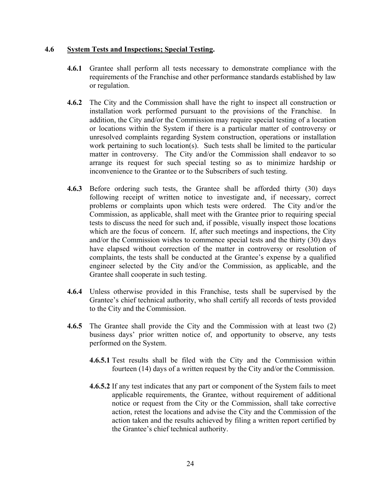#### **4.6 System Tests and Inspections; Special Testing.**

- **4.6.1** Grantee shall perform all tests necessary to demonstrate compliance with the requirements of the Franchise and other performance standards established by law or regulation.
- **4.6.2** The City and the Commission shall have the right to inspect all construction or installation work performed pursuant to the provisions of the Franchise. In addition, the City and/or the Commission may require special testing of a location or locations within the System if there is a particular matter of controversy or unresolved complaints regarding System construction, operations or installation work pertaining to such location(s). Such tests shall be limited to the particular matter in controversy. The City and/or the Commission shall endeavor to so arrange its request for such special testing so as to minimize hardship or inconvenience to the Grantee or to the Subscribers of such testing.
- **4.6.3** Before ordering such tests, the Grantee shall be afforded thirty (30) days following receipt of written notice to investigate and, if necessary, correct problems or complaints upon which tests were ordered. The City and/or the Commission, as applicable, shall meet with the Grantee prior to requiring special tests to discuss the need for such and, if possible, visually inspect those locations which are the focus of concern. If, after such meetings and inspections, the City and/or the Commission wishes to commence special tests and the thirty (30) days have elapsed without correction of the matter in controversy or resolution of complaints, the tests shall be conducted at the Grantee's expense by a qualified engineer selected by the City and/or the Commission, as applicable, and the Grantee shall cooperate in such testing.
- **4.6.4** Unless otherwise provided in this Franchise, tests shall be supervised by the Grantee's chief technical authority, who shall certify all records of tests provided to the City and the Commission.
- **4.6.5** The Grantee shall provide the City and the Commission with at least two (2) business days' prior written notice of, and opportunity to observe, any tests performed on the System.
	- **4.6.5.1** Test results shall be filed with the City and the Commission within fourteen (14) days of a written request by the City and/or the Commission.
	- **4.6.5.2** If any test indicates that any part or component of the System fails to meet applicable requirements, the Grantee, without requirement of additional notice or request from the City or the Commission, shall take corrective action, retest the locations and advise the City and the Commission of the action taken and the results achieved by filing a written report certified by the Grantee's chief technical authority.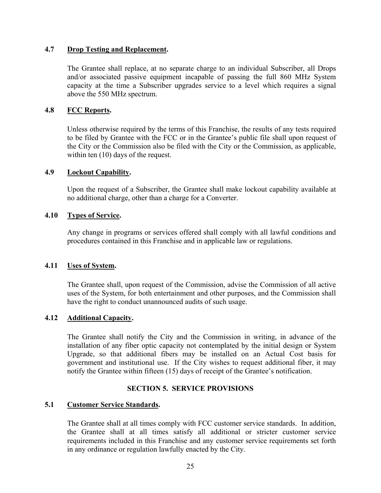# **4.7 Drop Testing and Replacement.**

The Grantee shall replace, at no separate charge to an individual Subscriber, all Drops and/or associated passive equipment incapable of passing the full 860 MHz System capacity at the time a Subscriber upgrades service to a level which requires a signal above the 550 MHz spectrum.

### **4.8 FCC Reports.**

Unless otherwise required by the terms of this Franchise, the results of any tests required to be filed by Grantee with the FCC or in the Grantee's public file shall upon request of the City or the Commission also be filed with the City or the Commission, as applicable, within ten  $(10)$  days of the request.

#### **4.9 Lockout Capability.**

Upon the request of a Subscriber, the Grantee shall make lockout capability available at no additional charge, other than a charge for a Converter.

### **4.10 Types of Service.**

Any change in programs or services offered shall comply with all lawful conditions and procedures contained in this Franchise and in applicable law or regulations.

#### **4.11 Uses of System.**

The Grantee shall, upon request of the Commission, advise the Commission of all active uses of the System, for both entertainment and other purposes, and the Commission shall have the right to conduct unannounced audits of such usage.

#### **4.12 Additional Capacity.**

The Grantee shall notify the City and the Commission in writing, in advance of the installation of any fiber optic capacity not contemplated by the initial design or System Upgrade, so that additional fibers may be installed on an Actual Cost basis for government and institutional use. If the City wishes to request additional fiber, it may notify the Grantee within fifteen (15) days of receipt of the Grantee's notification.

# **SECTION 5. SERVICE PROVISIONS**

#### **5.1 Customer Service Standards.**

The Grantee shall at all times comply with FCC customer service standards. In addition, the Grantee shall at all times satisfy all additional or stricter customer service requirements included in this Franchise and any customer service requirements set forth in any ordinance or regulation lawfully enacted by the City.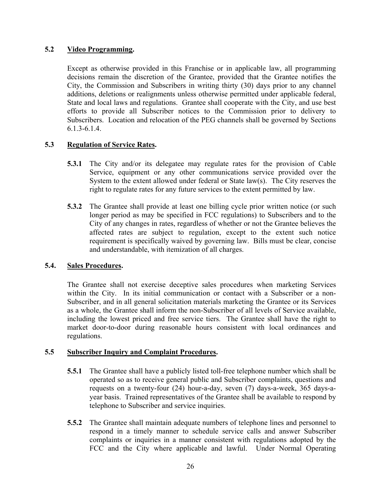# **5.2 Video Programming.**

Except as otherwise provided in this Franchise or in applicable law, all programming decisions remain the discretion of the Grantee, provided that the Grantee notifies the City, the Commission and Subscribers in writing thirty (30) days prior to any channel additions, deletions or realignments unless otherwise permitted under applicable federal, State and local laws and regulations. Grantee shall cooperate with the City, and use best efforts to provide all Subscriber notices to the Commission prior to delivery to Subscribers. Location and relocation of the PEG channels shall be governed by Sections 6.1.3-6.1.4.

# **5.3 Regulation of Service Rates.**

- **5.3.1** The City and/or its delegatee may regulate rates for the provision of Cable Service, equipment or any other communications service provided over the System to the extent allowed under federal or State law(s). The City reserves the right to regulate rates for any future services to the extent permitted by law.
- **5.3.2** The Grantee shall provide at least one billing cycle prior written notice (or such longer period as may be specified in FCC regulations) to Subscribers and to the City of any changes in rates, regardless of whether or not the Grantee believes the affected rates are subject to regulation, except to the extent such notice requirement is specifically waived by governing law. Bills must be clear, concise and understandable, with itemization of all charges.

# **5.4. Sales Procedures.**

The Grantee shall not exercise deceptive sales procedures when marketing Services within the City. In its initial communication or contact with a Subscriber or a non-Subscriber, and in all general solicitation materials marketing the Grantee or its Services as a whole, the Grantee shall inform the non-Subscriber of all levels of Service available, including the lowest priced and free service tiers. The Grantee shall have the right to market door-to-door during reasonable hours consistent with local ordinances and regulations.

# **5.5 Subscriber Inquiry and Complaint Procedures.**

- **5.5.1** The Grantee shall have a publicly listed toll-free telephone number which shall be operated so as to receive general public and Subscriber complaints, questions and requests on a twenty-four (24) hour-a-day, seven (7) days-a-week, 365 days-ayear basis. Trained representatives of the Grantee shall be available to respond by telephone to Subscriber and service inquiries.
- **5.5.2** The Grantee shall maintain adequate numbers of telephone lines and personnel to respond in a timely manner to schedule service calls and answer Subscriber complaints or inquiries in a manner consistent with regulations adopted by the FCC and the City where applicable and lawful. Under Normal Operating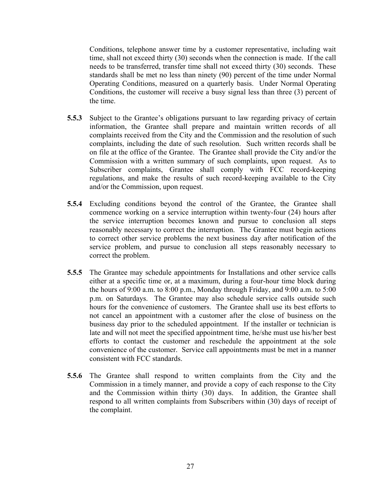Conditions, telephone answer time by a customer representative, including wait time, shall not exceed thirty (30) seconds when the connection is made. If the call needs to be transferred, transfer time shall not exceed thirty (30) seconds. These standards shall be met no less than ninety (90) percent of the time under Normal Operating Conditions, measured on a quarterly basis. Under Normal Operating Conditions, the customer will receive a busy signal less than three (3) percent of the time.

- **5.5.3** Subject to the Grantee's obligations pursuant to law regarding privacy of certain information, the Grantee shall prepare and maintain written records of all complaints received from the City and the Commission and the resolution of such complaints, including the date of such resolution. Such written records shall be on file at the office of the Grantee. The Grantee shall provide the City and/or the Commission with a written summary of such complaints, upon request. As to Subscriber complaints, Grantee shall comply with FCC record-keeping regulations, and make the results of such record-keeping available to the City and/or the Commission, upon request.
- **5.5.4** Excluding conditions beyond the control of the Grantee, the Grantee shall commence working on a service interruption within twenty-four (24) hours after the service interruption becomes known and pursue to conclusion all steps reasonably necessary to correct the interruption. The Grantee must begin actions to correct other service problems the next business day after notification of the service problem, and pursue to conclusion all steps reasonably necessary to correct the problem.
- **5.5.5** The Grantee may schedule appointments for Installations and other service calls either at a specific time or, at a maximum, during a four-hour time block during the hours of 9:00 a.m. to 8:00 p.m., Monday through Friday, and 9:00 a.m. to 5:00 p.m. on Saturdays. The Grantee may also schedule service calls outside such hours for the convenience of customers. The Grantee shall use its best efforts to not cancel an appointment with a customer after the close of business on the business day prior to the scheduled appointment. If the installer or technician is late and will not meet the specified appointment time, he/she must use his/her best efforts to contact the customer and reschedule the appointment at the sole convenience of the customer. Service call appointments must be met in a manner consistent with FCC standards.
- **5.5.6** The Grantee shall respond to written complaints from the City and the Commission in a timely manner, and provide a copy of each response to the City and the Commission within thirty (30) days. In addition, the Grantee shall respond to all written complaints from Subscribers within (30) days of receipt of the complaint.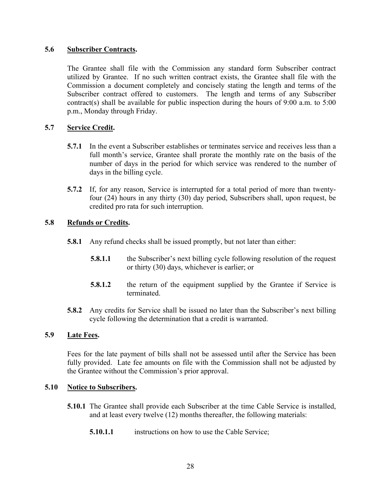### **5.6 Subscriber Contracts.**

 The Grantee shall file with the Commission any standard form Subscriber contract utilized by Grantee. If no such written contract exists, the Grantee shall file with the Commission a document completely and concisely stating the length and terms of the Subscriber contract offered to customers. The length and terms of any Subscriber contract(s) shall be available for public inspection during the hours of 9:00 a.m. to 5:00 p.m., Monday through Friday.

# **5.7 Service Credit.**

- **5.7.1** In the event a Subscriber establishes or terminates service and receives less than a full month's service, Grantee shall prorate the monthly rate on the basis of the number of days in the period for which service was rendered to the number of days in the billing cycle.
- **5.7.2** If, for any reason, Service is interrupted for a total period of more than twentyfour (24) hours in any thirty (30) day period, Subscribers shall, upon request, be credited pro rata for such interruption.

### **5.8 Refunds or Credits.**

- **5.8.1** Any refund checks shall be issued promptly, but not later than either:
	- **5.8.1.1** the Subscriber's next billing cycle following resolution of the request or thirty (30) days, whichever is earlier; or
	- **5.8.1.2** the return of the equipment supplied by the Grantee if Service is terminated.
- **5.8.2** Any credits for Service shall be issued no later than the Subscriber's next billing cycle following the determination that a credit is warranted.

### **5.9 Late Fees.**

 Fees for the late payment of bills shall not be assessed until after the Service has been fully provided. Late fee amounts on file with the Commission shall not be adjusted by the Grantee without the Commission's prior approval.

#### **5.10 Notice to Subscribers.**

- **5.10.1** The Grantee shall provide each Subscriber at the time Cable Service is installed, and at least every twelve (12) months thereafter, the following materials:
	- **5.10.1.1** instructions on how to use the Cable Service;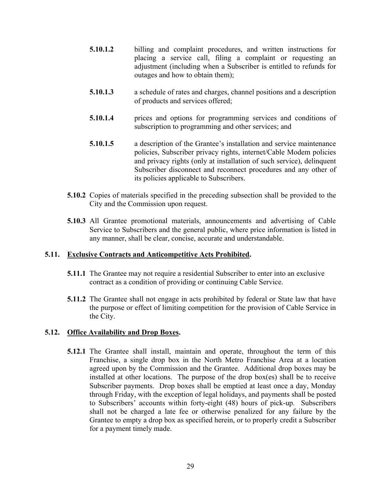- **5.10.1.2** billing and complaint procedures, and written instructions for placing a service call, filing a complaint or requesting an adjustment (including when a Subscriber is entitled to refunds for outages and how to obtain them);
- **5.10.1.3** a schedule of rates and charges, channel positions and a description of products and services offered;
- **5.10.1.4** prices and options for programming services and conditions of subscription to programming and other services; and
- **5.10.1.5** a description of the Grantee's installation and service maintenance policies, Subscriber privacy rights, internet/Cable Modem policies and privacy rights (only at installation of such service), delinquent Subscriber disconnect and reconnect procedures and any other of its policies applicable to Subscribers.
- **5.10.2** Copies of materials specified in the preceding subsection shall be provided to the City and the Commission upon request.
- **5.10.3** All Grantee promotional materials, announcements and advertising of Cable Service to Subscribers and the general public, where price information is listed in any manner, shall be clear, concise, accurate and understandable.

# **5.11. Exclusive Contracts and Anticompetitive Acts Prohibited.**

- **5.11.1** The Grantee may not require a residential Subscriber to enter into an exclusive contract as a condition of providing or continuing Cable Service.
- **5.11.2** The Grantee shall not engage in acts prohibited by federal or State law that have the purpose or effect of limiting competition for the provision of Cable Service in the City.

# **5.12. Office Availability and Drop Boxes.**

**5.12.1** The Grantee shall install, maintain and operate, throughout the term of this Franchise, a single drop box in the North Metro Franchise Area at a location agreed upon by the Commission and the Grantee. Additional drop boxes may be installed at other locations. The purpose of the drop box(es) shall be to receive Subscriber payments. Drop boxes shall be emptied at least once a day, Monday through Friday, with the exception of legal holidays, and payments shall be posted to Subscribers' accounts within forty-eight (48) hours of pick-up. Subscribers shall not be charged a late fee or otherwise penalized for any failure by the Grantee to empty a drop box as specified herein, or to properly credit a Subscriber for a payment timely made.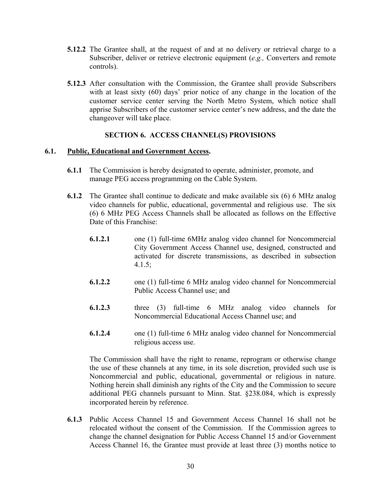- **5.12.2** The Grantee shall, at the request of and at no delivery or retrieval charge to a Subscriber, deliver or retrieve electronic equipment (*e.g.,* Converters and remote controls).
- **5.12.3** After consultation with the Commission, the Grantee shall provide Subscribers with at least sixty (60) days' prior notice of any change in the location of the customer service center serving the North Metro System, which notice shall apprise Subscribers of the customer service center's new address, and the date the changeover will take place.

### **SECTION 6. ACCESS CHANNEL(S) PROVISIONS**

### **6.1. Public, Educational and Government Access.**

- **6.1.1** The Commission is hereby designated to operate, administer, promote, and manage PEG access programming on the Cable System.
- **6.1.2** The Grantee shall continue to dedicate and make available six (6) 6 MHz analog video channels for public, educational, governmental and religious use. The six (6) 6 MHz PEG Access Channels shall be allocated as follows on the Effective Date of this Franchise:
	- **6.1.2.1** one (1) full-time 6MHz analog video channel for Noncommercial City Government Access Channel use, designed, constructed and activated for discrete transmissions, as described in subsection  $4.1.5$ ;
	- **6.1.2.2** one (1) full-time 6 MHz analog video channel for Noncommercial Public Access Channel use; and
	- **6.1.2.3** three (3) full-time 6 MHz analog video channels for Noncommercial Educational Access Channel use; and
	- **6.1.2.4** one (1) full-time 6 MHz analog video channel for Noncommercial religious access use.

The Commission shall have the right to rename, reprogram or otherwise change the use of these channels at any time, in its sole discretion, provided such use is Noncommercial and public, educational, governmental or religious in nature. Nothing herein shall diminish any rights of the City and the Commission to secure additional PEG channels pursuant to Minn. Stat. §238.084, which is expressly incorporated herein by reference.

**6.1.3** Public Access Channel 15 and Government Access Channel 16 shall not be relocated without the consent of the Commission. If the Commission agrees to change the channel designation for Public Access Channel 15 and/or Government Access Channel 16, the Grantee must provide at least three (3) months notice to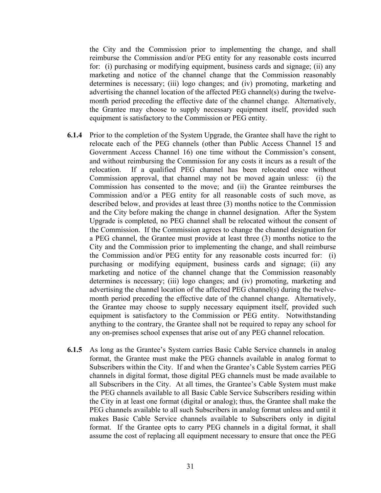the City and the Commission prior to implementing the change, and shall reimburse the Commission and/or PEG entity for any reasonable costs incurred for: (i) purchasing or modifying equipment, business cards and signage; (ii) any marketing and notice of the channel change that the Commission reasonably determines is necessary; (iii) logo changes; and (iv) promoting, marketing and advertising the channel location of the affected PEG channel(s) during the twelvemonth period preceding the effective date of the channel change. Alternatively, the Grantee may choose to supply necessary equipment itself, provided such equipment is satisfactory to the Commission or PEG entity.

- **6.1.4** Prior to the completion of the System Upgrade, the Grantee shall have the right to relocate each of the PEG channels (other than Public Access Channel 15 and Government Access Channel 16) one time without the Commission's consent, and without reimbursing the Commission for any costs it incurs as a result of the relocation. If a qualified PEG channel has been relocated once without Commission approval, that channel may not be moved again unless: (i) the Commission has consented to the move; and (ii) the Grantee reimburses the Commission and/or a PEG entity for all reasonable costs of such move, as described below, and provides at least three (3) months notice to the Commission and the City before making the change in channel designation. After the System Upgrade is completed, no PEG channel shall be relocated without the consent of the Commission. If the Commission agrees to change the channel designation for a PEG channel, the Grantee must provide at least three (3) months notice to the City and the Commission prior to implementing the change, and shall reimburse the Commission and/or PEG entity for any reasonable costs incurred for: (i) purchasing or modifying equipment, business cards and signage; (ii) any marketing and notice of the channel change that the Commission reasonably determines is necessary; (iii) logo changes; and (iv) promoting, marketing and advertising the channel location of the affected PEG channel(s) during the twelvemonth period preceding the effective date of the channel change. Alternatively, the Grantee may choose to supply necessary equipment itself, provided such equipment is satisfactory to the Commission or PEG entity. Notwithstanding anything to the contrary, the Grantee shall not be required to repay any school for any on-premises school expenses that arise out of any PEG channel relocation.
- **6.1.5** As long as the Grantee's System carries Basic Cable Service channels in analog format, the Grantee must make the PEG channels available in analog format to Subscribers within the City. If and when the Grantee's Cable System carries PEG channels in digital format, those digital PEG channels must be made available to all Subscribers in the City. At all times, the Grantee's Cable System must make the PEG channels available to all Basic Cable Service Subscribers residing within the City in at least one format (digital or analog); thus, the Grantee shall make the PEG channels available to all such Subscribers in analog format unless and until it makes Basic Cable Service channels available to Subscribers only in digital format. If the Grantee opts to carry PEG channels in a digital format, it shall assume the cost of replacing all equipment necessary to ensure that once the PEG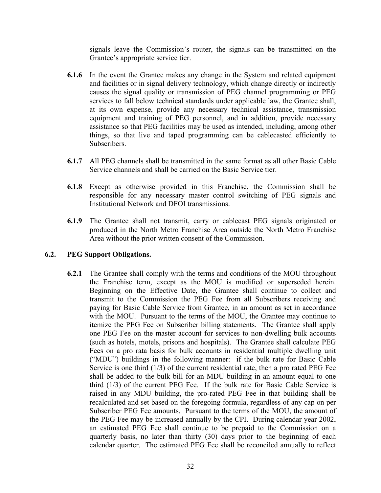signals leave the Commission's router, the signals can be transmitted on the Grantee's appropriate service tier.

- **6.1.6** In the event the Grantee makes any change in the System and related equipment and facilities or in signal delivery technology, which change directly or indirectly causes the signal quality or transmission of PEG channel programming or PEG services to fall below technical standards under applicable law, the Grantee shall, at its own expense, provide any necessary technical assistance, transmission equipment and training of PEG personnel, and in addition, provide necessary assistance so that PEG facilities may be used as intended, including, among other things, so that live and taped programming can be cablecasted efficiently to Subscribers.
- **6.1.7** All PEG channels shall be transmitted in the same format as all other Basic Cable Service channels and shall be carried on the Basic Service tier.
- **6.1.8** Except as otherwise provided in this Franchise, the Commission shall be responsible for any necessary master control switching of PEG signals and Institutional Network and DFOI transmissions.
- **6.1.9** The Grantee shall not transmit, carry or cablecast PEG signals originated or produced in the North Metro Franchise Area outside the North Metro Franchise Area without the prior written consent of the Commission.

# **6.2. PEG Support Obligations.**

**6.2.1** The Grantee shall comply with the terms and conditions of the MOU throughout the Franchise term, except as the MOU is modified or superseded herein. Beginning on the Effective Date, the Grantee shall continue to collect and transmit to the Commission the PEG Fee from all Subscribers receiving and paying for Basic Cable Service from Grantee, in an amount as set in accordance with the MOU. Pursuant to the terms of the MOU, the Grantee may continue to itemize the PEG Fee on Subscriber billing statements. The Grantee shall apply one PEG Fee on the master account for services to non-dwelling bulk accounts (such as hotels, motels, prisons and hospitals). The Grantee shall calculate PEG Fees on a pro rata basis for bulk accounts in residential multiple dwelling unit ("MDU") buildings in the following manner: if the bulk rate for Basic Cable Service is one third (1/3) of the current residential rate, then a pro rated PEG Fee shall be added to the bulk bill for an MDU building in an amount equal to one third (1/3) of the current PEG Fee. If the bulk rate for Basic Cable Service is raised in any MDU building, the pro-rated PEG Fee in that building shall be recalculated and set based on the foregoing formula, regardless of any cap on per Subscriber PEG Fee amounts. Pursuant to the terms of the MOU, the amount of the PEG Fee may be increased annually by the CPI. During calendar year 2002, an estimated PEG Fee shall continue to be prepaid to the Commission on a quarterly basis, no later than thirty (30) days prior to the beginning of each calendar quarter. The estimated PEG Fee shall be reconciled annually to reflect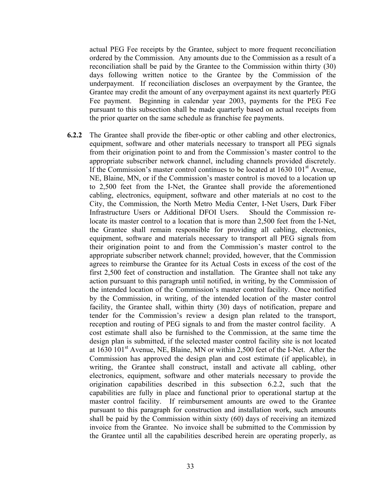actual PEG Fee receipts by the Grantee, subject to more frequent reconciliation ordered by the Commission. Any amounts due to the Commission as a result of a reconciliation shall be paid by the Grantee to the Commission within thirty (30) days following written notice to the Grantee by the Commission of the underpayment. If reconciliation discloses an overpayment by the Grantee, the Grantee may credit the amount of any overpayment against its next quarterly PEG Fee payment. Beginning in calendar year 2003, payments for the PEG Fee pursuant to this subsection shall be made quarterly based on actual receipts from the prior quarter on the same schedule as franchise fee payments.

**6.2.2** The Grantee shall provide the fiber-optic or other cabling and other electronics, equipment, software and other materials necessary to transport all PEG signals from their origination point to and from the Commission's master control to the appropriate subscriber network channel, including channels provided discretely. If the Commission's master control continues to be located at  $1630 101<sup>st</sup>$  Avenue, NE, Blaine, MN, or if the Commission's master control is moved to a location up to 2,500 feet from the I-Net, the Grantee shall provide the aforementioned cabling, electronics, equipment, software and other materials at no cost to the City, the Commission, the North Metro Media Center, I-Net Users, Dark Fiber Infrastructure Users or Additional DFOI Users. Should the Commission relocate its master control to a location that is more than 2,500 feet from the I-Net, the Grantee shall remain responsible for providing all cabling, electronics, equipment, software and materials necessary to transport all PEG signals from their origination point to and from the Commission's master control to the appropriate subscriber network channel; provided, however, that the Commission agrees to reimburse the Grantee for its Actual Costs in excess of the cost of the first 2,500 feet of construction and installation. The Grantee shall not take any action pursuant to this paragraph until notified, in writing, by the Commission of the intended location of the Commission's master control facility. Once notified by the Commission, in writing, of the intended location of the master control facility, the Grantee shall, within thirty (30) days of notification, prepare and tender for the Commission's review a design plan related to the transport, reception and routing of PEG signals to and from the master control facility. A cost estimate shall also be furnished to the Commission, at the same time the design plan is submitted, if the selected master control facility site is not located at 1630 101st Avenue, NE, Blaine, MN or within 2,500 feet of the I-Net. After the Commission has approved the design plan and cost estimate (if applicable), in writing, the Grantee shall construct, install and activate all cabling, other electronics, equipment, software and other materials necessary to provide the origination capabilities described in this subsection 6.2.2, such that the capabilities are fully in place and functional prior to operational startup at the master control facility. If reimbursement amounts are owed to the Grantee pursuant to this paragraph for construction and installation work, such amounts shall be paid by the Commission within sixty (60) days of receiving an itemized invoice from the Grantee. No invoice shall be submitted to the Commission by the Grantee until all the capabilities described herein are operating properly, as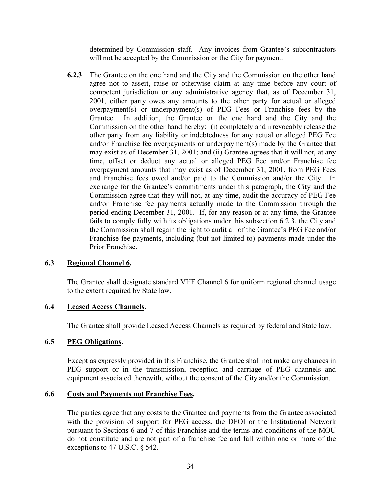determined by Commission staff. Any invoices from Grantee's subcontractors will not be accepted by the Commission or the City for payment.

**6.2.3** The Grantee on the one hand and the City and the Commission on the other hand agree not to assert, raise or otherwise claim at any time before any court of competent jurisdiction or any administrative agency that, as of December 31, 2001, either party owes any amounts to the other party for actual or alleged overpayment(s) or underpayment(s) of PEG Fees or Franchise fees by the Grantee. In addition, the Grantee on the one hand and the City and the Commission on the other hand hereby: (i) completely and irrevocably release the other party from any liability or indebtedness for any actual or alleged PEG Fee and/or Franchise fee overpayments or underpayment(s) made by the Grantee that may exist as of December 31, 2001; and (ii) Grantee agrees that it will not, at any time, offset or deduct any actual or alleged PEG Fee and/or Franchise fee overpayment amounts that may exist as of December 31, 2001, from PEG Fees and Franchise fees owed and/or paid to the Commission and/or the City. In exchange for the Grantee's commitments under this paragraph, the City and the Commission agree that they will not, at any time, audit the accuracy of PEG Fee and/or Franchise fee payments actually made to the Commission through the period ending December 31, 2001. If, for any reason or at any time, the Grantee fails to comply fully with its obligations under this subsection 6.2.3, the City and the Commission shall regain the right to audit all of the Grantee's PEG Fee and/or Franchise fee payments, including (but not limited to) payments made under the Prior Franchise.

#### **6.3 Regional Channel 6.**

The Grantee shall designate standard VHF Channel 6 for uniform regional channel usage to the extent required by State law.

### **6.4 Leased Access Channels.**

The Grantee shall provide Leased Access Channels as required by federal and State law.

#### **6.5 PEG Obligations.**

Except as expressly provided in this Franchise, the Grantee shall not make any changes in PEG support or in the transmission, reception and carriage of PEG channels and equipment associated therewith, without the consent of the City and/or the Commission.

#### **6.6 Costs and Payments not Franchise Fees.**

The parties agree that any costs to the Grantee and payments from the Grantee associated with the provision of support for PEG access, the DFOI or the Institutional Network pursuant to Sections 6 and 7 of this Franchise and the terms and conditions of the MOU do not constitute and are not part of a franchise fee and fall within one or more of the exceptions to 47 U.S.C. § 542.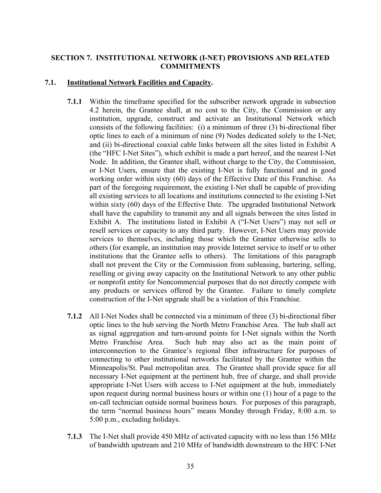# **SECTION 7. INSTITUTIONAL NETWORK (I-NET) PROVISIONS AND RELATED COMMITMENTS**

#### **7.1. Institutional Network Facilities and Capacity.**

- **7.1.1** Within the timeframe specified for the subscriber network upgrade in subsection 4.2 herein, the Grantee shall, at no cost to the City, the Commission or any institution, upgrade, construct and activate an Institutional Network which consists of the following facilities: (i) a minimum of three (3) bi-directional fiber optic lines to each of a minimum of nine (9) Nodes dedicated solely to the I-Net; and (ii) bi-directional coaxial cable links between all the sites listed in Exhibit A (the "HFC I-Net Sites"), which exhibit is made a part hereof, and the nearest I-Net Node. In addition, the Grantee shall, without charge to the City, the Commission, or I-Net Users, ensure that the existing I-Net is fully functional and in good working order within sixty (60) days of the Effective Date of this Franchise. As part of the foregoing requirement, the existing I-Net shall be capable of providing all existing services to all locations and institutions connected to the existing I-Net within sixty (60) days of the Effective Date. The upgraded Institutional Network shall have the capability to transmit any and all signals between the sites listed in Exhibit A. The institutions listed in Exhibit A ("I-Net Users") may not sell or resell services or capacity to any third party. However, I-Net Users may provide services to themselves, including those which the Grantee otherwise sells to others (for example, an institution may provide Internet service to itself or to other institutions that the Grantee sells to others). The limitations of this paragraph shall not prevent the City or the Commission from subleasing, bartering, selling, reselling or giving away capacity on the Institutional Network to any other public or nonprofit entity for Noncommercial purposes that do not directly compete with any products or services offered by the Grantee. Failure to timely complete construction of the I-Net upgrade shall be a violation of this Franchise.
- **7.1.2** All I-Net Nodes shall be connected via a minimum of three (3) bi-directional fiber optic lines to the hub serving the North Metro Franchise Area. The hub shall act as signal aggregation and turn-around points for I-Net signals within the North Metro Franchise Area. Such hub may also act as the main point of interconnection to the Grantee's regional fiber infrastructure for purposes of connecting to other institutional networks facilitated by the Grantee within the Minneapolis/St. Paul metropolitan area. The Grantee shall provide space for all necessary I-Net equipment at the pertinent hub, free of charge, and shall provide appropriate I-Net Users with access to I-Net equipment at the hub, immediately upon request during normal business hours or within one (1) hour of a page to the on-call technician outside normal business hours. For purposes of this paragraph, the term "normal business hours" means Monday through Friday, 8:00 a.m. to 5:00 p.m., excluding holidays.
- **7.1.3** The I-Net shall provide 450 MHz of activated capacity with no less than 156 MHz of bandwidth upstream and 210 MHz of bandwidth downstream to the HFC I-Net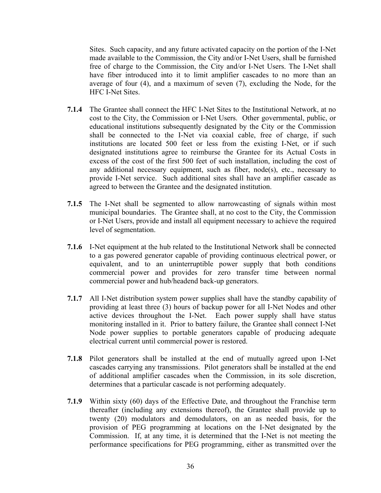Sites. Such capacity, and any future activated capacity on the portion of the I-Net made available to the Commission, the City and/or I-Net Users, shall be furnished free of charge to the Commission, the City and/or I-Net Users. The I-Net shall have fiber introduced into it to limit amplifier cascades to no more than an average of four (4), and a maximum of seven (7), excluding the Node, for the HFC I-Net Sites.

- **7.1.4** The Grantee shall connect the HFC I-Net Sites to the Institutional Network, at no cost to the City, the Commission or I-Net Users. Other governmental, public, or educational institutions subsequently designated by the City or the Commission shall be connected to the I-Net via coaxial cable, free of charge, if such institutions are located 500 feet or less from the existing I-Net, or if such designated institutions agree to reimburse the Grantee for its Actual Costs in excess of the cost of the first 500 feet of such installation, including the cost of any additional necessary equipment, such as fiber, node(s), etc., necessary to provide I-Net service. Such additional sites shall have an amplifier cascade as agreed to between the Grantee and the designated institution.
- **7.1.5** The I-Net shall be segmented to allow narrowcasting of signals within most municipal boundaries. The Grantee shall, at no cost to the City, the Commission or I-Net Users, provide and install all equipment necessary to achieve the required level of segmentation.
- **7.1.6** I-Net equipment at the hub related to the Institutional Network shall be connected to a gas powered generator capable of providing continuous electrical power, or equivalent, and to an uninterruptible power supply that both conditions commercial power and provides for zero transfer time between normal commercial power and hub/headend back-up generators.
- **7.1.7** All I-Net distribution system power supplies shall have the standby capability of providing at least three (3) hours of backup power for all I-Net Nodes and other active devices throughout the I-Net. Each power supply shall have status monitoring installed in it. Prior to battery failure, the Grantee shall connect I-Net Node power supplies to portable generators capable of producing adequate electrical current until commercial power is restored.
- **7.1.8** Pilot generators shall be installed at the end of mutually agreed upon I-Net cascades carrying any transmissions. Pilot generators shall be installed at the end of additional amplifier cascades when the Commission, in its sole discretion, determines that a particular cascade is not performing adequately.
- **7.1.9** Within sixty (60) days of the Effective Date, and throughout the Franchise term thereafter (including any extensions thereof), the Grantee shall provide up to twenty (20) modulators and demodulators, on an as needed basis, for the provision of PEG programming at locations on the I-Net designated by the Commission. If, at any time, it is determined that the I-Net is not meeting the performance specifications for PEG programming, either as transmitted over the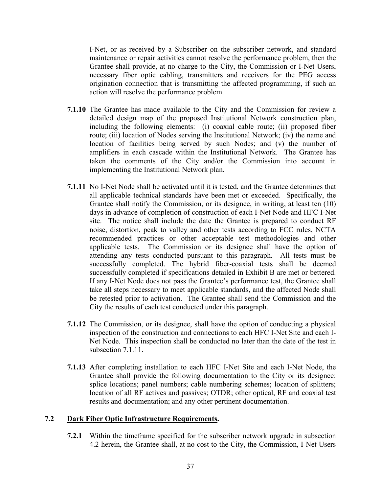I-Net, or as received by a Subscriber on the subscriber network, and standard maintenance or repair activities cannot resolve the performance problem, then the Grantee shall provide, at no charge to the City, the Commission or I-Net Users, necessary fiber optic cabling, transmitters and receivers for the PEG access origination connection that is transmitting the affected programming, if such an action will resolve the performance problem.

- **7.1.10** The Grantee has made available to the City and the Commission for review a detailed design map of the proposed Institutional Network construction plan, including the following elements: (i) coaxial cable route; (ii) proposed fiber route; (iii) location of Nodes serving the Institutional Network; (iv) the name and location of facilities being served by such Nodes; and (v) the number of amplifiers in each cascade within the Institutional Network. The Grantee has taken the comments of the City and/or the Commission into account in implementing the Institutional Network plan.
- **7.1.11** No I-Net Node shall be activated until it is tested, and the Grantee determines that all applicable technical standards have been met or exceeded. Specifically, the Grantee shall notify the Commission, or its designee, in writing, at least ten (10) days in advance of completion of construction of each I-Net Node and HFC I-Net site. The notice shall include the date the Grantee is prepared to conduct RF noise, distortion, peak to valley and other tests according to FCC rules, NCTA recommended practices or other acceptable test methodologies and other applicable tests. The Commission or its designee shall have the option of attending any tests conducted pursuant to this paragraph. All tests must be successfully completed. The hybrid fiber-coaxial tests shall be deemed successfully completed if specifications detailed in Exhibit B are met or bettered. If any I-Net Node does not pass the Grantee's performance test, the Grantee shall take all steps necessary to meet applicable standards, and the affected Node shall be retested prior to activation. The Grantee shall send the Commission and the City the results of each test conducted under this paragraph.
- **7.1.12** The Commission, or its designee, shall have the option of conducting a physical inspection of the construction and connections to each HFC I-Net Site and each I-Net Node. This inspection shall be conducted no later than the date of the test in subsection 7.1.11.
- **7.1.13** After completing installation to each HFC I-Net Site and each I-Net Node, the Grantee shall provide the following documentation to the City or its designee: splice locations; panel numbers; cable numbering schemes; location of splitters; location of all RF actives and passives; OTDR; other optical, RF and coaxial test results and documentation; and any other pertinent documentation.

### **7.2 Dark Fiber Optic Infrastructure Requirements.**

**7.2.1** Within the timeframe specified for the subscriber network upgrade in subsection 4.2 herein, the Grantee shall, at no cost to the City, the Commission, I-Net Users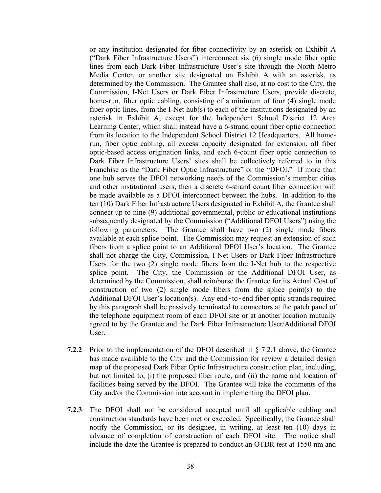or any institution designated for fiber connectivity by an asterisk on Exhibit A ("Dark Fiber Infrastructure Users") interconnect six (6) single mode fiber optic lines from each Dark Fiber Infrastructure User's site through the North Metro Media Center, or another site designated on Exhibit A with an asterisk, as determined by the Commission. The Grantee shall also, at no cost to the City, the Commission, I-Net Users or Dark Fiber Infrastructure Users, provide discrete, home-run, fiber optic cabling, consisting of a minimum of four (4) single mode fiber optic lines, from the I-Net hub(s) to each of the institutions designated by an asterisk in Exhibit A, except for the Independent School District 12 Area Learning Center, which shall instead have a 6-strand count fiber optic connection from its location to the Independent School District 12 Headquarters. All homerun, fiber optic cabling, all excess capacity designated for extension, all fiber optic-based access origination links, and each 6-count fiber optic connection to Dark Fiber Infrastructure Users' sites shall be collectively referred to in this Franchise as the "Dark Fiber Optic Infrastructure" or the "DFOI." If more than one hub serves the DFOI networking needs of the Commission's member cities and other institutional users, then a discrete 6-strand count fiber connection will be made available as a DFOI interconnect between the hubs. In addition to the ten (10) Dark Fiber Infrastructure Users designated in Exhibit A, the Grantee shall connect up to nine (9) additional governmental, public or educational institutions subsequently designated by the Commission ("Additional DFOI Users") using the following parameters. The Grantee shall have two (2) single mode fibers available at each splice point. The Commission may request an extension of such fibers from a splice point to an Additional DFOI User's location. The Grantee shall not charge the City, Commission, I-Net Users or Dark Fiber Infrastructure Users for the two (2) single mode fibers from the I-Net hub to the respective splice point. The City, the Commission or the Additional DFOI User, as determined by the Commission, shall reimburse the Grantee for its Actual Cost of construction of two (2) single mode fibers from the splice point(s) to the Additional DFOI User's location(s). Any end-to-end fiber optic strands required by this paragraph shall be passively terminated to connectors at the patch panel of the telephone equipment room of each DFOI site or at another location mutually agreed to by the Grantee and the Dark Fiber Infrastructure User/Additional DFOI User.

- **7.2.2** Prior to the implementation of the DFOI described in § 7.2.1 above, the Grantee has made available to the City and the Commission for review a detailed design map of the proposed Dark Fiber Optic Infrastructure construction plan, including, but not limited to, (i) the proposed fiber route, and (ii) the name and location of facilities being served by the DFOI. The Grantee will take the comments of the City and/or the Commission into account in implementing the DFOI plan.
- **7.2.3** The DFOI shall not be considered accepted until all applicable cabling and construction standards have been met or exceeded. Specifically, the Grantee shall notify the Commission, or its designee, in writing, at least ten (10) days in advance of completion of construction of each DFOI site. The notice shall include the date the Grantee is prepared to conduct an OTDR test at 1550 nm and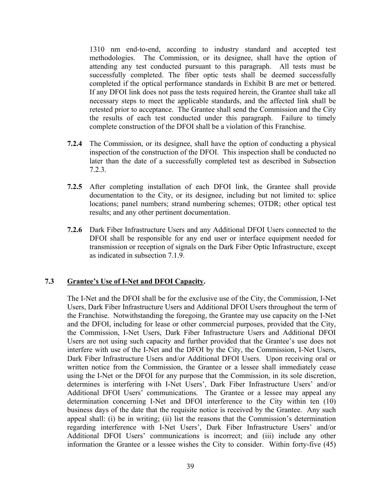1310 nm end-to-end, according to industry standard and accepted test methodologies. The Commission, or its designee, shall have the option of attending any test conducted pursuant to this paragraph. All tests must be successfully completed. The fiber optic tests shall be deemed successfully completed if the optical performance standards in Exhibit B are met or bettered. If any DFOI link does not pass the tests required herein, the Grantee shall take all necessary steps to meet the applicable standards, and the affected link shall be retested prior to acceptance. The Grantee shall send the Commission and the City the results of each test conducted under this paragraph. Failure to timely complete construction of the DFOI shall be a violation of this Franchise.

- **7.2.4** The Commission, or its designee, shall have the option of conducting a physical inspection of the construction of the DFOI. This inspection shall be conducted no later than the date of a successfully completed test as described in Subsection 7.2.3.
- **7.2.5** After completing installation of each DFOI link, the Grantee shall provide documentation to the City, or its designee, including but not limited to: splice locations; panel numbers; strand numbering schemes; OTDR; other optical test results; and any other pertinent documentation.
- **7.2.6** Dark Fiber Infrastructure Users and any Additional DFOI Users connected to the DFOI shall be responsible for any end user or interface equipment needed for transmission or reception of signals on the Dark Fiber Optic Infrastructure, except as indicated in subsection 7.1.9.

# **7.3 Grantee's Use of I-Net and DFOI Capacity.**

The I-Net and the DFOI shall be for the exclusive use of the City, the Commission, I-Net Users, Dark Fiber Infrastructure Users and Additional DFOI Users throughout the term of the Franchise. Notwithstanding the foregoing, the Grantee may use capacity on the I-Net and the DFOI, including for lease or other commercial purposes, provided that the City, the Commission, I-Net Users, Dark Fiber Infrastructure Users and Additional DFOI Users are not using such capacity and further provided that the Grantee's use does not interfere with use of the I-Net and the DFOI by the City, the Commission, I-Net Users, Dark Fiber Infrastructure Users and/or Additional DFOI Users. Upon receiving oral or written notice from the Commission, the Grantee or a lessee shall immediately cease using the I-Net or the DFOI for any purpose that the Commission, in its sole discretion, determines is interfering with I-Net Users', Dark Fiber Infrastructure Users' and/or Additional DFOI Users' communications. The Grantee or a lessee may appeal any determination concerning I-Net and DFOI interference to the City within ten (10) business days of the date that the requisite notice is received by the Grantee. Any such appeal shall: (i) be in writing; (ii) list the reasons that the Commission's determination regarding interference with I-Net Users', Dark Fiber Infrastructure Users' and/or Additional DFOI Users' communications is incorrect; and (iii) include any other information the Grantee or a lessee wishes the City to consider. Within forty-five (45)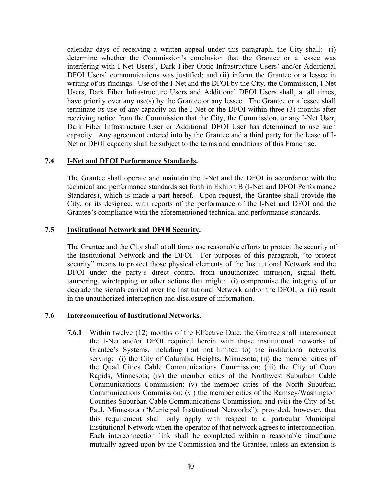calendar days of receiving a written appeal under this paragraph, the City shall: (i) determine whether the Commission's conclusion that the Grantee or a lessee was interfering with I-Net Users', Dark Fiber Optic Infrastructure Users' and/or Additional DFOI Users' communications was justified; and (ii) inform the Grantee or a lessee in writing of its findings. Use of the I-Net and the DFOI by the City, the Commission, I-Net Users, Dark Fiber Infrastructure Users and Additional DFOI Users shall, at all times, have priority over any use(s) by the Grantee or any lessee. The Grantee or a lessee shall terminate its use of any capacity on the I-Net or the DFOI within three (3) months after receiving notice from the Commission that the City, the Commission, or any I-Net User, Dark Fiber Infrastructure User or Additional DFOI User has determined to use such capacity. Any agreement entered into by the Grantee and a third party for the lease of I-Net or DFOI capacity shall be subject to the terms and conditions of this Franchise.

# **7.4 I-Net and DFOI Performance Standards.**

The Grantee shall operate and maintain the I-Net and the DFOI in accordance with the technical and performance standards set forth in Exhibit B (I-Net and DFOI Performance Standards), which is made a part hereof. Upon request, the Grantee shall provide the City, or its designee, with reports of the performance of the I-Net and DFOI and the Grantee's compliance with the aforementioned technical and performance standards.

#### **7.5 Institutional Network and DFOI Security.**

The Grantee and the City shall at all times use reasonable efforts to protect the security of the Institutional Network and the DFOI. For purposes of this paragraph, "to protect security" means to protect those physical elements of the Institutional Network and the DFOI under the party's direct control from unauthorized intrusion, signal theft, tampering, wiretapping or other actions that might: (i) compromise the integrity of or degrade the signals carried over the Institutional Network and/or the DFOI; or (ii) result in the unauthorized interception and disclosure of information.

#### **7.6 Interconnection of Institutional Networks.**

**7.6.1** Within twelve (12) months of the Effective Date, the Grantee shall interconnect the I-Net and/or DFOI required herein with those institutional networks of Grantee's Systems, including (but not limited to) the institutional networks serving: (i) the City of Columbia Heights, Minnesota; (ii) the member cities of the Quad Cities Cable Communications Commission; (iii) the City of Coon Rapids, Minnesota; (iv) the member cities of the Northwest Suburban Cable Communications Commission; (v) the member cities of the North Suburban Communications Commission; (vi) the member cities of the Ramsey/Washington Counties Suburban Cable Communications Commission; and (vii) the City of St. Paul, Minnesota ("Municipal Institutional Networks"); provided, however, that this requirement shall only apply with respect to a particular Municipal Institutional Network when the operator of that network agrees to interconnection. Each interconnection link shall be completed within a reasonable timeframe mutually agreed upon by the Commission and the Grantee, unless an extension is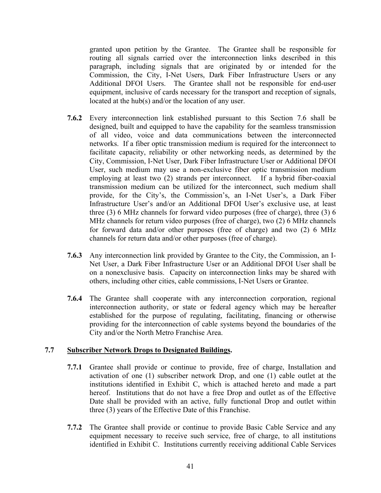granted upon petition by the Grantee. The Grantee shall be responsible for routing all signals carried over the interconnection links described in this paragraph, including signals that are originated by or intended for the Commission, the City, I-Net Users, Dark Fiber Infrastructure Users or any Additional DFOI Users. The Grantee shall not be responsible for end-user equipment, inclusive of cards necessary for the transport and reception of signals, located at the hub(s) and/or the location of any user.

- **7.6.2** Every interconnection link established pursuant to this Section 7.6 shall be designed, built and equipped to have the capability for the seamless transmission of all video, voice and data communications between the interconnected networks. If a fiber optic transmission medium is required for the interconnect to facilitate capacity, reliability or other networking needs, as determined by the City, Commission, I-Net User, Dark Fiber Infrastructure User or Additional DFOI User, such medium may use a non-exclusive fiber optic transmission medium employing at least two (2) strands per interconnect. If a hybrid fiber-coaxial transmission medium can be utilized for the interconnect, such medium shall provide, for the City's, the Commission's, an I-Net User's, a Dark Fiber Infrastructure User's and/or an Additional DFOI User's exclusive use, at least three (3) 6 MHz channels for forward video purposes (free of charge), three (3) 6 MHz channels for return video purposes (free of charge), two (2) 6 MHz channels for forward data and/or other purposes (free of charge) and two (2) 6 MHz channels for return data and/or other purposes (free of charge).
- **7.6.3** Any interconnection link provided by Grantee to the City, the Commission, an I-Net User, a Dark Fiber Infrastructure User or an Additional DFOI User shall be on a nonexclusive basis. Capacity on interconnection links may be shared with others, including other cities, cable commissions, I-Net Users or Grantee.
- **7.6.4** The Grantee shall cooperate with any interconnection corporation, regional interconnection authority, or state or federal agency which may be hereafter established for the purpose of regulating, facilitating, financing or otherwise providing for the interconnection of cable systems beyond the boundaries of the City and/or the North Metro Franchise Area.

#### **7.7 Subscriber Network Drops to Designated Buildings.**

- **7.7.1** Grantee shall provide or continue to provide, free of charge, Installation and activation of one (1) subscriber network Drop, and one (1) cable outlet at the institutions identified in Exhibit C, which is attached hereto and made a part hereof. Institutions that do not have a free Drop and outlet as of the Effective Date shall be provided with an active, fully functional Drop and outlet within three (3) years of the Effective Date of this Franchise.
- **7.7.2** The Grantee shall provide or continue to provide Basic Cable Service and any equipment necessary to receive such service, free of charge, to all institutions identified in Exhibit C. Institutions currently receiving additional Cable Services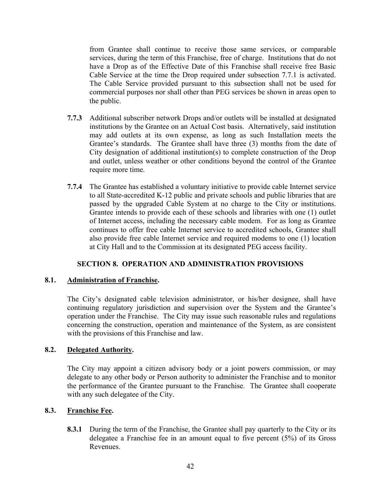from Grantee shall continue to receive those same services, or comparable services, during the term of this Franchise, free of charge. Institutions that do not have a Drop as of the Effective Date of this Franchise shall receive free Basic Cable Service at the time the Drop required under subsection 7.7.1 is activated. The Cable Service provided pursuant to this subsection shall not be used for commercial purposes nor shall other than PEG services be shown in areas open to the public.

- **7.7.3** Additional subscriber network Drops and/or outlets will be installed at designated institutions by the Grantee on an Actual Cost basis. Alternatively, said institution may add outlets at its own expense, as long as such Installation meets the Grantee's standards. The Grantee shall have three (3) months from the date of City designation of additional institution(s) to complete construction of the Drop and outlet, unless weather or other conditions beyond the control of the Grantee require more time.
- **7.7.4** The Grantee has established a voluntary initiative to provide cable Internet service to all State-accredited K-12 public and private schools and public libraries that are passed by the upgraded Cable System at no charge to the City or institutions. Grantee intends to provide each of these schools and libraries with one (1) outlet of Internet access, including the necessary cable modem. For as long as Grantee continues to offer free cable Internet service to accredited schools, Grantee shall also provide free cable Internet service and required modems to one (1) location at City Hall and to the Commission at its designated PEG access facility.

# **SECTION 8. OPERATION AND ADMINISTRATION PROVISIONS**

#### **8.1. Administration of Franchise.**

The City's designated cable television administrator, or his/her designee, shall have continuing regulatory jurisdiction and supervision over the System and the Grantee's operation under the Franchise. The City may issue such reasonable rules and regulations concerning the construction, operation and maintenance of the System, as are consistent with the provisions of this Franchise and law.

### **8.2. Delegated Authority.**

The City may appoint a citizen advisory body or a joint powers commission, or may delegate to any other body or Person authority to administer the Franchise and to monitor the performance of the Grantee pursuant to the Franchise. The Grantee shall cooperate with any such delegatee of the City.

#### **8.3. Franchise Fee.**

**8.3.1** During the term of the Franchise, the Grantee shall pay quarterly to the City or its delegatee a Franchise fee in an amount equal to five percent (5%) of its Gross Revenues.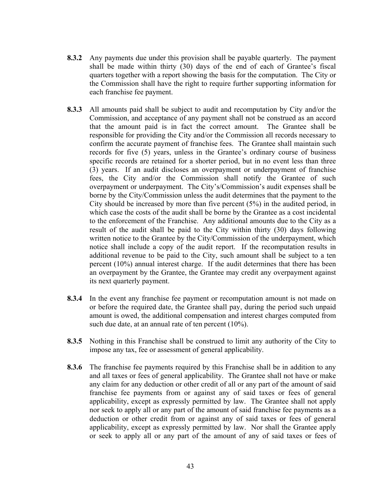- **8.3.2** Any payments due under this provision shall be payable quarterly. The payment shall be made within thirty (30) days of the end of each of Grantee's fiscal quarters together with a report showing the basis for the computation. The City or the Commission shall have the right to require further supporting information for each franchise fee payment.
- **8.3.3** All amounts paid shall be subject to audit and recomputation by City and/or the Commission, and acceptance of any payment shall not be construed as an accord that the amount paid is in fact the correct amount. The Grantee shall be responsible for providing the City and/or the Commission all records necessary to confirm the accurate payment of franchise fees. The Grantee shall maintain such records for five (5) years, unless in the Grantee's ordinary course of business specific records are retained for a shorter period, but in no event less than three (3) years. If an audit discloses an overpayment or underpayment of franchise fees, the City and/or the Commission shall notify the Grantee of such overpayment or underpayment. The City's/Commission's audit expenses shall be borne by the City/Commission unless the audit determines that the payment to the City should be increased by more than five percent (5%) in the audited period, in which case the costs of the audit shall be borne by the Grantee as a cost incidental to the enforcement of the Franchise. Any additional amounts due to the City as a result of the audit shall be paid to the City within thirty (30) days following written notice to the Grantee by the City/Commission of the underpayment, which notice shall include a copy of the audit report. If the recomputation results in additional revenue to be paid to the City, such amount shall be subject to a ten percent (10%) annual interest charge. If the audit determines that there has been an overpayment by the Grantee, the Grantee may credit any overpayment against its next quarterly payment.
- **8.3.4** In the event any franchise fee payment or recomputation amount is not made on or before the required date, the Grantee shall pay, during the period such unpaid amount is owed, the additional compensation and interest charges computed from such due date, at an annual rate of ten percent (10%).
- **8.3.5** Nothing in this Franchise shall be construed to limit any authority of the City to impose any tax, fee or assessment of general applicability.
- **8.3.6** The franchise fee payments required by this Franchise shall be in addition to any and all taxes or fees of general applicability. The Grantee shall not have or make any claim for any deduction or other credit of all or any part of the amount of said franchise fee payments from or against any of said taxes or fees of general applicability, except as expressly permitted by law. The Grantee shall not apply nor seek to apply all or any part of the amount of said franchise fee payments as a deduction or other credit from or against any of said taxes or fees of general applicability, except as expressly permitted by law. Nor shall the Grantee apply or seek to apply all or any part of the amount of any of said taxes or fees of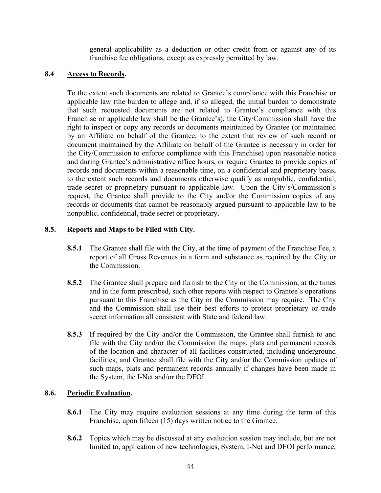general applicability as a deduction or other credit from or against any of its franchise fee obligations, except as expressly permitted by law.

# **8.4 Access to Records.**

To the extent such documents are related to Grantee's compliance with this Franchise or applicable law (the burden to allege and, if so alleged, the initial burden to demonstrate that such requested documents are not related to Grantee's compliance with this Franchise or applicable law shall be the Grantee's), the City/Commission shall have the right to inspect or copy any records or documents maintained by Grantee (or maintained by an Affiliate on behalf of the Grantee, to the extent that review of such record or document maintained by the Affiliate on behalf of the Grantee is necessary in order for the City/Commission to enforce compliance with this Franchise) upon reasonable notice and during Grantee's administrative office hours, or require Grantee to provide copies of records and documents within a reasonable time, on a confidential and proprietary basis, to the extent such records and documents otherwise qualify as nonpublic, confidential, trade secret or proprietary pursuant to applicable law. Upon the City's/Commission's request, the Grantee shall provide to the City and/or the Commission copies of any records or documents that cannot be reasonably argued pursuant to applicable law to be nonpublic, confidential, trade secret or proprietary.

### **8.5. Reports and Maps to be Filed with City.**

- **8.5.1** The Grantee shall file with the City, at the time of payment of the Franchise Fee, a report of all Gross Revenues in a form and substance as required by the City or the Commission.
- **8.5.2** The Grantee shall prepare and furnish to the City or the Commission, at the times and in the form prescribed, such other reports with respect to Grantee's operations pursuant to this Franchise as the City or the Commission may require. The City and the Commission shall use their best efforts to protect proprietary or trade secret information all consistent with State and federal law.
- **8.5.3** If required by the City and/or the Commission, the Grantee shall furnish to and file with the City and/or the Commission the maps, plats and permanent records of the location and character of all facilities constructed, including underground facilities, and Grantee shall file with the City and/or the Commission updates of such maps, plats and permanent records annually if changes have been made in the System, the I-Net and/or the DFOI.

# **8.6. Periodic Evaluation.**

- **8.6.1** The City may require evaluation sessions at any time during the term of this Franchise, upon fifteen (15) days written notice to the Grantee.
- **8.6.2** Topics which may be discussed at any evaluation session may include, but are not limited to, application of new technologies, System, I-Net and DFOI performance,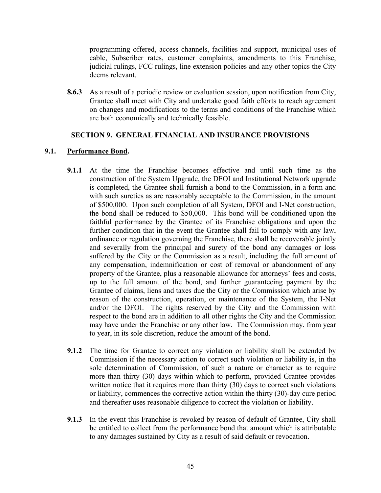programming offered, access channels, facilities and support, municipal uses of cable, Subscriber rates, customer complaints, amendments to this Franchise, judicial rulings, FCC rulings, line extension policies and any other topics the City deems relevant.

**8.6.3** As a result of a periodic review or evaluation session, upon notification from City, Grantee shall meet with City and undertake good faith efforts to reach agreement on changes and modifications to the terms and conditions of the Franchise which are both economically and technically feasible.

### **SECTION 9. GENERAL FINANCIAL AND INSURANCE PROVISIONS**

### **9.1. Performance Bond.**

- **9.1.1** At the time the Franchise becomes effective and until such time as the construction of the System Upgrade, the DFOI and Institutional Network upgrade is completed, the Grantee shall furnish a bond to the Commission, in a form and with such sureties as are reasonably acceptable to the Commission, in the amount of \$500,000. Upon such completion of all System, DFOI and I-Net construction, the bond shall be reduced to \$50,000. This bond will be conditioned upon the faithful performance by the Grantee of its Franchise obligations and upon the further condition that in the event the Grantee shall fail to comply with any law, ordinance or regulation governing the Franchise, there shall be recoverable jointly and severally from the principal and surety of the bond any damages or loss suffered by the City or the Commission as a result, including the full amount of any compensation, indemnification or cost of removal or abandonment of any property of the Grantee, plus a reasonable allowance for attorneys' fees and costs, up to the full amount of the bond, and further guaranteeing payment by the Grantee of claims, liens and taxes due the City or the Commission which arise by reason of the construction, operation, or maintenance of the System, the I-Net and/or the DFOI. The rights reserved by the City and the Commission with respect to the bond are in addition to all other rights the City and the Commission may have under the Franchise or any other law. The Commission may, from year to year, in its sole discretion, reduce the amount of the bond.
- **9.1.2** The time for Grantee to correct any violation or liability shall be extended by Commission if the necessary action to correct such violation or liability is, in the sole determination of Commission, of such a nature or character as to require more than thirty (30) days within which to perform, provided Grantee provides written notice that it requires more than thirty (30) days to correct such violations or liability, commences the corrective action within the thirty (30)-day cure period and thereafter uses reasonable diligence to correct the violation or liability.
- **9.1.3** In the event this Franchise is revoked by reason of default of Grantee, City shall be entitled to collect from the performance bond that amount which is attributable to any damages sustained by City as a result of said default or revocation.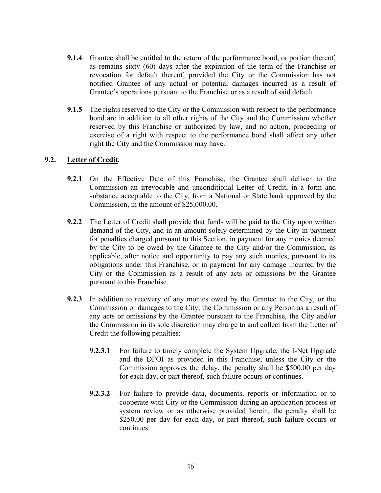- **9.1.4** Grantee shall be entitled to the return of the performance bond, or portion thereof, as remains sixty (60) days after the expiration of the term of the Franchise or revocation for default thereof, provided the City or the Commission has not notified Grantee of any actual or potential damages incurred as a result of Grantee's operations pursuant to the Franchise or as a result of said default.
- **9.1.5** The rights reserved to the City or the Commission with respect to the performance bond are in addition to all other rights of the City and the Commission whether reserved by this Franchise or authorized by law, and no action, proceeding or exercise of a right with respect to the performance bond shall affect any other right the City and the Commission may have.

### **9.2. Letter of Credit.**

- **9.2.1** On the Effective Date of this Franchise, the Grantee shall deliver to the Commission an irrevocable and unconditional Letter of Credit, in a form and substance acceptable to the City, from a National or State bank approved by the Commission, in the amount of \$25,000.00.
- **9.2.2** The Letter of Credit shall provide that funds will be paid to the City upon written demand of the City, and in an amount solely determined by the City in payment for penalties charged pursuant to this Section, in payment for any monies deemed by the City to be owed by the Grantee to the City and/or the Commission, as applicable, after notice and opportunity to pay any such monies, pursuant to its obligations under this Franchise, or in payment for any damage incurred by the City or the Commission as a result of any acts or omissions by the Grantee pursuant to this Franchise.
- **9.2.3** In addition to recovery of any monies owed by the Grantee to the City, or the Commission or damages to the City, the Commission or any Person as a result of any acts or omissions by the Grantee pursuant to the Franchise, the City and/or the Commission in its sole discretion may charge to and collect from the Letter of Credit the following penalties:
	- **9.2.3.1** For failure to timely complete the System Upgrade, the I-Net Upgrade and the DFOI as provided in this Franchise, unless the City or the Commission approves the delay, the penalty shall be \$500.00 per day for each day, or part thereof, such failure occurs or continues.
	- **9.2.3.2** For failure to provide data, documents, reports or information or to cooperate with City or the Commission during an application process or system review or as otherwise provided herein, the penalty shall be \$250.00 per day for each day, or part thereof, such failure occurs or continues.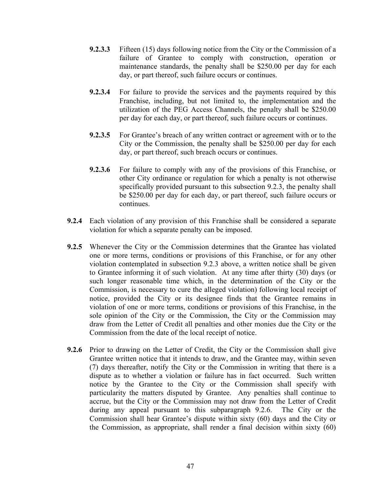- **9.2.3.3** Fifteen (15) days following notice from the City or the Commission of a failure of Grantee to comply with construction, operation or maintenance standards, the penalty shall be \$250.00 per day for each day, or part thereof, such failure occurs or continues.
- **9.2.3.4** For failure to provide the services and the payments required by this Franchise, including, but not limited to, the implementation and the utilization of the PEG Access Channels, the penalty shall be \$250.00 per day for each day, or part thereof, such failure occurs or continues.
- **9.2.3.5** For Grantee's breach of any written contract or agreement with or to the City or the Commission, the penalty shall be \$250.00 per day for each day, or part thereof, such breach occurs or continues.
- **9.2.3.6** For failure to comply with any of the provisions of this Franchise, or other City ordinance or regulation for which a penalty is not otherwise specifically provided pursuant to this subsection 9.2.3, the penalty shall be \$250.00 per day for each day, or part thereof, such failure occurs or continues.
- **9.2.4** Each violation of any provision of this Franchise shall be considered a separate violation for which a separate penalty can be imposed.
- **9.2.5** Whenever the City or the Commission determines that the Grantee has violated one or more terms, conditions or provisions of this Franchise, or for any other violation contemplated in subsection 9.2.3 above, a written notice shall be given to Grantee informing it of such violation. At any time after thirty (30) days (or such longer reasonable time which, in the determination of the City or the Commission, is necessary to cure the alleged violation) following local receipt of notice, provided the City or its designee finds that the Grantee remains in violation of one or more terms, conditions or provisions of this Franchise, in the sole opinion of the City or the Commission, the City or the Commission may draw from the Letter of Credit all penalties and other monies due the City or the Commission from the date of the local receipt of notice.
- **9.2.6** Prior to drawing on the Letter of Credit, the City or the Commission shall give Grantee written notice that it intends to draw, and the Grantee may, within seven (7) days thereafter, notify the City or the Commission in writing that there is a dispute as to whether a violation or failure has in fact occurred. Such written notice by the Grantee to the City or the Commission shall specify with particularity the matters disputed by Grantee. Any penalties shall continue to accrue, but the City or the Commission may not draw from the Letter of Credit during any appeal pursuant to this subparagraph 9.2.6. The City or the Commission shall hear Grantee's dispute within sixty (60) days and the City or the Commission, as appropriate, shall render a final decision within sixty (60)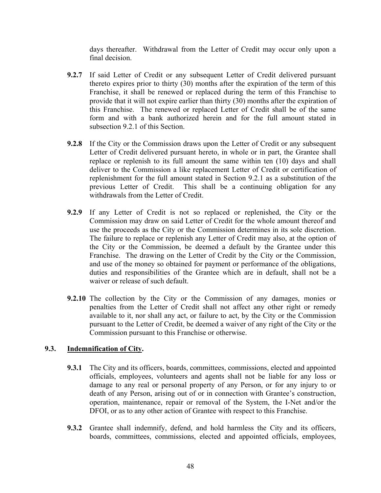days thereafter. Withdrawal from the Letter of Credit may occur only upon a final decision.

- **9.2.7** If said Letter of Credit or any subsequent Letter of Credit delivered pursuant thereto expires prior to thirty (30) months after the expiration of the term of this Franchise, it shall be renewed or replaced during the term of this Franchise to provide that it will not expire earlier than thirty (30) months after the expiration of this Franchise. The renewed or replaced Letter of Credit shall be of the same form and with a bank authorized herein and for the full amount stated in subsection 9.2.1 of this Section.
- **9.2.8** If the City or the Commission draws upon the Letter of Credit or any subsequent Letter of Credit delivered pursuant hereto, in whole or in part, the Grantee shall replace or replenish to its full amount the same within ten (10) days and shall deliver to the Commission a like replacement Letter of Credit or certification of replenishment for the full amount stated in Section 9.2.1 as a substitution of the previous Letter of Credit. This shall be a continuing obligation for any withdrawals from the Letter of Credit.
- **9.2.9** If any Letter of Credit is not so replaced or replenished, the City or the Commission may draw on said Letter of Credit for the whole amount thereof and use the proceeds as the City or the Commission determines in its sole discretion. The failure to replace or replenish any Letter of Credit may also, at the option of the City or the Commission, be deemed a default by the Grantee under this Franchise. The drawing on the Letter of Credit by the City or the Commission, and use of the money so obtained for payment or performance of the obligations, duties and responsibilities of the Grantee which are in default, shall not be a waiver or release of such default.
- **9.2.10** The collection by the City or the Commission of any damages, monies or penalties from the Letter of Credit shall not affect any other right or remedy available to it, nor shall any act, or failure to act, by the City or the Commission pursuant to the Letter of Credit, be deemed a waiver of any right of the City or the Commission pursuant to this Franchise or otherwise.

# **9.3. Indemnification of City.**

- **9.3.1** The City and its officers, boards, committees, commissions, elected and appointed officials, employees, volunteers and agents shall not be liable for any loss or damage to any real or personal property of any Person, or for any injury to or death of any Person, arising out of or in connection with Grantee's construction, operation, maintenance, repair or removal of the System, the I-Net and/or the DFOI, or as to any other action of Grantee with respect to this Franchise.
- **9.3.2** Grantee shall indemnify, defend, and hold harmless the City and its officers, boards, committees, commissions, elected and appointed officials, employees,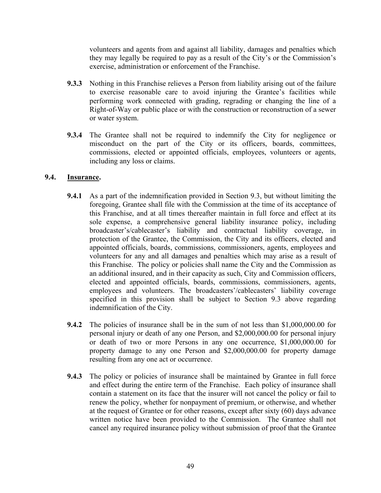volunteers and agents from and against all liability, damages and penalties which they may legally be required to pay as a result of the City's or the Commission's exercise, administration or enforcement of the Franchise.

- **9.3.3** Nothing in this Franchise relieves a Person from liability arising out of the failure to exercise reasonable care to avoid injuring the Grantee's facilities while performing work connected with grading, regrading or changing the line of a Right-of-Way or public place or with the construction or reconstruction of a sewer or water system.
- **9.3.4** The Grantee shall not be required to indemnify the City for negligence or misconduct on the part of the City or its officers, boards, committees, commissions, elected or appointed officials, employees, volunteers or agents, including any loss or claims.

### **9.4. Insurance.**

- **9.4.1** As a part of the indemnification provided in Section 9.3, but without limiting the foregoing, Grantee shall file with the Commission at the time of its acceptance of this Franchise, and at all times thereafter maintain in full force and effect at its sole expense, a comprehensive general liability insurance policy, including broadcaster's/cablecaster's liability and contractual liability coverage, in protection of the Grantee, the Commission, the City and its officers, elected and appointed officials, boards, commissions, commissioners, agents, employees and volunteers for any and all damages and penalties which may arise as a result of this Franchise. The policy or policies shall name the City and the Commission as an additional insured, and in their capacity as such, City and Commission officers, elected and appointed officials, boards, commissions, commissioners, agents, employees and volunteers. The broadcasters'/cablecasters' liability coverage specified in this provision shall be subject to Section 9.3 above regarding indemnification of the City.
- **9.4.2** The policies of insurance shall be in the sum of not less than \$1,000,000.00 for personal injury or death of any one Person, and \$2,000,000.00 for personal injury or death of two or more Persons in any one occurrence, \$1,000,000.00 for property damage to any one Person and \$2,000,000.00 for property damage resulting from any one act or occurrence.
- **9.4.3** The policy or policies of insurance shall be maintained by Grantee in full force and effect during the entire term of the Franchise. Each policy of insurance shall contain a statement on its face that the insurer will not cancel the policy or fail to renew the policy, whether for nonpayment of premium, or otherwise, and whether at the request of Grantee or for other reasons, except after sixty (60) days advance written notice have been provided to the Commission. The Grantee shall not cancel any required insurance policy without submission of proof that the Grantee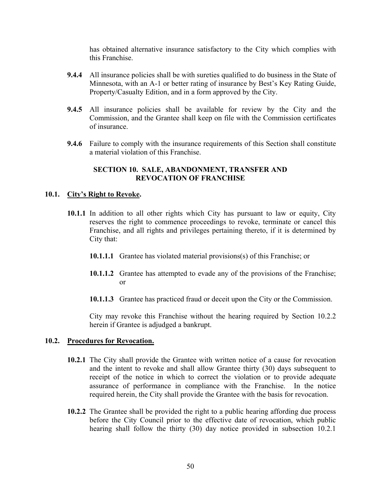has obtained alternative insurance satisfactory to the City which complies with this Franchise.

- **9.4.4** All insurance policies shall be with sureties qualified to do business in the State of Minnesota, with an A-1 or better rating of insurance by Best's Key Rating Guide, Property/Casualty Edition, and in a form approved by the City.
- **9.4.5** All insurance policies shall be available for review by the City and the Commission, and the Grantee shall keep on file with the Commission certificates of insurance.
- **9.4.6** Failure to comply with the insurance requirements of this Section shall constitute a material violation of this Franchise.

#### **SECTION 10. SALE, ABANDONMENT, TRANSFER AND REVOCATION OF FRANCHISE**

### **10.1. City's Right to Revoke.**

- **10.1.1** In addition to all other rights which City has pursuant to law or equity, City reserves the right to commence proceedings to revoke, terminate or cancel this Franchise, and all rights and privileges pertaining thereto, if it is determined by City that:
	- **10.1.1.1** Grantee has violated material provisions(s) of this Franchise; or
	- **10.1.1.2** Grantee has attempted to evade any of the provisions of the Franchise; or
	- **10.1.1.3** Grantee has practiced fraud or deceit upon the City or the Commission.

City may revoke this Franchise without the hearing required by Section 10.2.2 herein if Grantee is adjudged a bankrupt.

#### **10.2. Procedures for Revocation.**

- **10.2.1** The City shall provide the Grantee with written notice of a cause for revocation and the intent to revoke and shall allow Grantee thirty (30) days subsequent to receipt of the notice in which to correct the violation or to provide adequate assurance of performance in compliance with the Franchise. In the notice required herein, the City shall provide the Grantee with the basis for revocation.
- **10.2.2** The Grantee shall be provided the right to a public hearing affording due process before the City Council prior to the effective date of revocation, which public hearing shall follow the thirty (30) day notice provided in subsection 10.2.1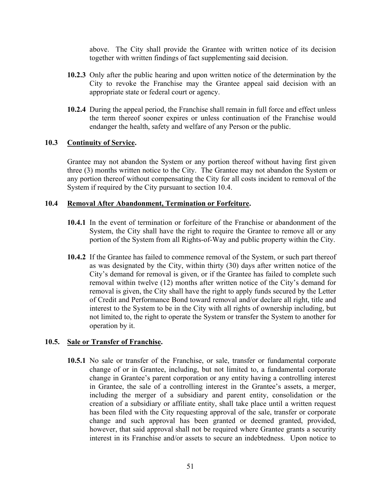above. The City shall provide the Grantee with written notice of its decision together with written findings of fact supplementing said decision.

- **10.2.3** Only after the public hearing and upon written notice of the determination by the City to revoke the Franchise may the Grantee appeal said decision with an appropriate state or federal court or agency.
- **10.2.4** During the appeal period, the Franchise shall remain in full force and effect unless the term thereof sooner expires or unless continuation of the Franchise would endanger the health, safety and welfare of any Person or the public.

### **10.3 Continuity of Service.**

Grantee may not abandon the System or any portion thereof without having first given three (3) months written notice to the City. The Grantee may not abandon the System or any portion thereof without compensating the City for all costs incident to removal of the System if required by the City pursuant to section 10.4.

### **10.4 Removal After Abandonment, Termination or Forfeiture.**

- **10.4.1** In the event of termination or forfeiture of the Franchise or abandonment of the System, the City shall have the right to require the Grantee to remove all or any portion of the System from all Rights-of-Way and public property within the City.
- **10.4.2** If the Grantee has failed to commence removal of the System, or such part thereof as was designated by the City, within thirty (30) days after written notice of the City's demand for removal is given, or if the Grantee has failed to complete such removal within twelve (12) months after written notice of the City's demand for removal is given, the City shall have the right to apply funds secured by the Letter of Credit and Performance Bond toward removal and/or declare all right, title and interest to the System to be in the City with all rights of ownership including, but not limited to, the right to operate the System or transfer the System to another for operation by it.

#### **10.5. Sale or Transfer of Franchise.**

**10.5.1** No sale or transfer of the Franchise, or sale, transfer or fundamental corporate change of or in Grantee, including, but not limited to, a fundamental corporate change in Grantee's parent corporation or any entity having a controlling interest in Grantee, the sale of a controlling interest in the Grantee's assets, a merger, including the merger of a subsidiary and parent entity, consolidation or the creation of a subsidiary or affiliate entity, shall take place until a written request has been filed with the City requesting approval of the sale, transfer or corporate change and such approval has been granted or deemed granted, provided, however, that said approval shall not be required where Grantee grants a security interest in its Franchise and/or assets to secure an indebtedness. Upon notice to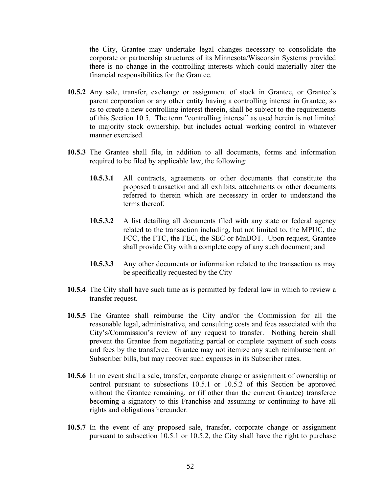the City, Grantee may undertake legal changes necessary to consolidate the corporate or partnership structures of its Minnesota/Wisconsin Systems provided there is no change in the controlling interests which could materially alter the financial responsibilities for the Grantee.

- 10.5.2 Any sale, transfer, exchange or assignment of stock in Grantee, or Grantee's parent corporation or any other entity having a controlling interest in Grantee, so as to create a new controlling interest therein, shall be subject to the requirements of this Section 10.5. The term "controlling interest" as used herein is not limited to majority stock ownership, but includes actual working control in whatever manner exercised.
- **10.5.3** The Grantee shall file, in addition to all documents, forms and information required to be filed by applicable law, the following:
	- **10.5.3.1** All contracts, agreements or other documents that constitute the proposed transaction and all exhibits, attachments or other documents referred to therein which are necessary in order to understand the terms thereof.
	- **10.5.3.2** A list detailing all documents filed with any state or federal agency related to the transaction including, but not limited to, the MPUC, the FCC, the FTC, the FEC, the SEC or MnDOT. Upon request, Grantee shall provide City with a complete copy of any such document; and
	- **10.5.3.3** Any other documents or information related to the transaction as may be specifically requested by the City
- **10.5.4** The City shall have such time as is permitted by federal law in which to review a transfer request.
- **10.5.5** The Grantee shall reimburse the City and/or the Commission for all the reasonable legal, administrative, and consulting costs and fees associated with the City's/Commission's review of any request to transfer. Nothing herein shall prevent the Grantee from negotiating partial or complete payment of such costs and fees by the transferee. Grantee may not itemize any such reimbursement on Subscriber bills, but may recover such expenses in its Subscriber rates.
- **10.5.6** In no event shall a sale, transfer, corporate change or assignment of ownership or control pursuant to subsections 10.5.1 or 10.5.2 of this Section be approved without the Grantee remaining, or (if other than the current Grantee) transferee becoming a signatory to this Franchise and assuming or continuing to have all rights and obligations hereunder.
- **10.5.7** In the event of any proposed sale, transfer, corporate change or assignment pursuant to subsection 10.5.1 or 10.5.2, the City shall have the right to purchase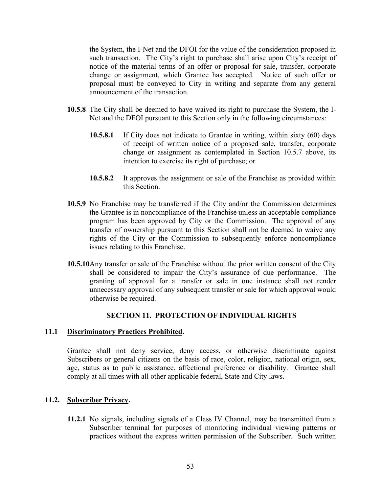the System, the I-Net and the DFOI for the value of the consideration proposed in such transaction. The City's right to purchase shall arise upon City's receipt of notice of the material terms of an offer or proposal for sale, transfer, corporate change or assignment, which Grantee has accepted. Notice of such offer or proposal must be conveyed to City in writing and separate from any general announcement of the transaction.

- **10.5.8** The City shall be deemed to have waived its right to purchase the System, the I-Net and the DFOI pursuant to this Section only in the following circumstances:
	- **10.5.8.1** If City does not indicate to Grantee in writing, within sixty (60) days of receipt of written notice of a proposed sale, transfer, corporate change or assignment as contemplated in Section 10.5.7 above, its intention to exercise its right of purchase; or
	- **10.5.8.2** It approves the assignment or sale of the Franchise as provided within this Section.
- **10.5.9** No Franchise may be transferred if the City and/or the Commission determines the Grantee is in noncompliance of the Franchise unless an acceptable compliance program has been approved by City or the Commission. The approval of any transfer of ownership pursuant to this Section shall not be deemed to waive any rights of the City or the Commission to subsequently enforce noncompliance issues relating to this Franchise.
- **10.5.10**Any transfer or sale of the Franchise without the prior written consent of the City shall be considered to impair the City's assurance of due performance. The granting of approval for a transfer or sale in one instance shall not render unnecessary approval of any subsequent transfer or sale for which approval would otherwise be required.

#### **SECTION 11. PROTECTION OF INDIVIDUAL RIGHTS**

#### **11.1 Discriminatory Practices Prohibited.**

Grantee shall not deny service, deny access, or otherwise discriminate against Subscribers or general citizens on the basis of race, color, religion, national origin, sex, age, status as to public assistance, affectional preference or disability. Grantee shall comply at all times with all other applicable federal, State and City laws.

#### **11.2. Subscriber Privacy.**

**11.2.1** No signals, including signals of a Class IV Channel, may be transmitted from a Subscriber terminal for purposes of monitoring individual viewing patterns or practices without the express written permission of the Subscriber. Such written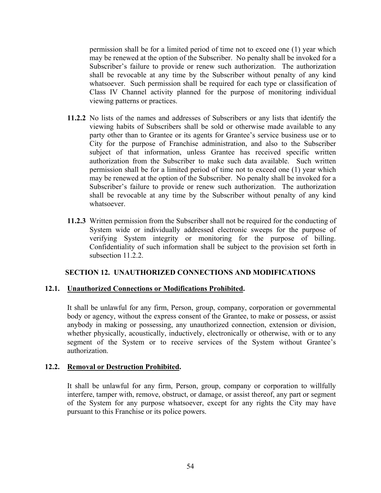permission shall be for a limited period of time not to exceed one (1) year which may be renewed at the option of the Subscriber. No penalty shall be invoked for a Subscriber's failure to provide or renew such authorization. The authorization shall be revocable at any time by the Subscriber without penalty of any kind whatsoever. Such permission shall be required for each type or classification of Class IV Channel activity planned for the purpose of monitoring individual viewing patterns or practices.

- **11.2.2** No lists of the names and addresses of Subscribers or any lists that identify the viewing habits of Subscribers shall be sold or otherwise made available to any party other than to Grantee or its agents for Grantee's service business use or to City for the purpose of Franchise administration, and also to the Subscriber subject of that information, unless Grantee has received specific written authorization from the Subscriber to make such data available. Such written permission shall be for a limited period of time not to exceed one (1) year which may be renewed at the option of the Subscriber. No penalty shall be invoked for a Subscriber's failure to provide or renew such authorization. The authorization shall be revocable at any time by the Subscriber without penalty of any kind whatsoever.
- **11.2.3** Written permission from the Subscriber shall not be required for the conducting of System wide or individually addressed electronic sweeps for the purpose of verifying System integrity or monitoring for the purpose of billing. Confidentiality of such information shall be subject to the provision set forth in subsection 11.2.2.

#### **SECTION 12. UNAUTHORIZED CONNECTIONS AND MODIFICATIONS**

#### **12.1. Unauthorized Connections or Modifications Prohibited.**

It shall be unlawful for any firm, Person, group, company, corporation or governmental body or agency, without the express consent of the Grantee, to make or possess, or assist anybody in making or possessing, any unauthorized connection, extension or division, whether physically, acoustically, inductively, electronically or otherwise, with or to any segment of the System or to receive services of the System without Grantee's authorization.

#### **12.2. Removal or Destruction Prohibited.**

It shall be unlawful for any firm, Person, group, company or corporation to willfully interfere, tamper with, remove, obstruct, or damage, or assist thereof, any part or segment of the System for any purpose whatsoever, except for any rights the City may have pursuant to this Franchise or its police powers.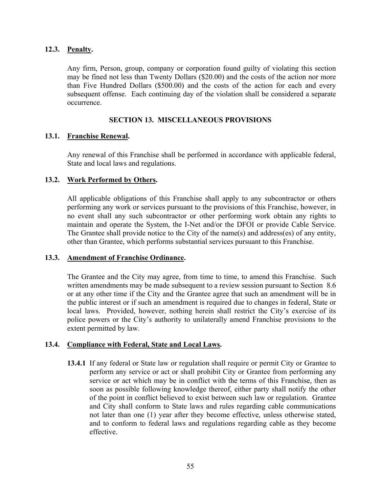### **12.3. Penalty.**

Any firm, Person, group, company or corporation found guilty of violating this section may be fined not less than Twenty Dollars (\$20.00) and the costs of the action nor more than Five Hundred Dollars (\$500.00) and the costs of the action for each and every subsequent offense. Each continuing day of the violation shall be considered a separate occurrence.

# **SECTION 13. MISCELLANEOUS PROVISIONS**

### **13.1. Franchise Renewal.**

Any renewal of this Franchise shall be performed in accordance with applicable federal, State and local laws and regulations.

### **13.2. Work Performed by Others.**

All applicable obligations of this Franchise shall apply to any subcontractor or others performing any work or services pursuant to the provisions of this Franchise, however, in no event shall any such subcontractor or other performing work obtain any rights to maintain and operate the System, the I-Net and/or the DFOI or provide Cable Service. The Grantee shall provide notice to the City of the name(s) and address(es) of any entity, other than Grantee, which performs substantial services pursuant to this Franchise.

#### **13.3. Amendment of Franchise Ordinance.**

The Grantee and the City may agree, from time to time, to amend this Franchise. Such written amendments may be made subsequent to a review session pursuant to Section 8.6 or at any other time if the City and the Grantee agree that such an amendment will be in the public interest or if such an amendment is required due to changes in federal, State or local laws. Provided, however, nothing herein shall restrict the City's exercise of its police powers or the City's authority to unilaterally amend Franchise provisions to the extent permitted by law.

### **13.4. Compliance with Federal, State and Local Laws.**

**13.4.1** If any federal or State law or regulation shall require or permit City or Grantee to perform any service or act or shall prohibit City or Grantee from performing any service or act which may be in conflict with the terms of this Franchise, then as soon as possible following knowledge thereof, either party shall notify the other of the point in conflict believed to exist between such law or regulation. Grantee and City shall conform to State laws and rules regarding cable communications not later than one (1) year after they become effective, unless otherwise stated, and to conform to federal laws and regulations regarding cable as they become effective.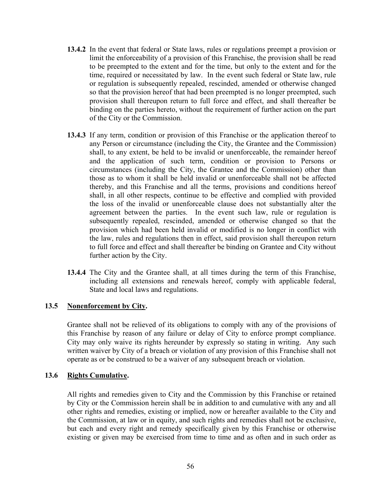- **13.4.2** In the event that federal or State laws, rules or regulations preempt a provision or limit the enforceability of a provision of this Franchise, the provision shall be read to be preempted to the extent and for the time, but only to the extent and for the time, required or necessitated by law. In the event such federal or State law, rule or regulation is subsequently repealed, rescinded, amended or otherwise changed so that the provision hereof that had been preempted is no longer preempted, such provision shall thereupon return to full force and effect, and shall thereafter be binding on the parties hereto, without the requirement of further action on the part of the City or the Commission.
- **13.4.3** If any term, condition or provision of this Franchise or the application thereof to any Person or circumstance (including the City, the Grantee and the Commission) shall, to any extent, be held to be invalid or unenforceable, the remainder hereof and the application of such term, condition or provision to Persons or circumstances (including the City, the Grantee and the Commission) other than those as to whom it shall be held invalid or unenforceable shall not be affected thereby, and this Franchise and all the terms, provisions and conditions hereof shall, in all other respects, continue to be effective and complied with provided the loss of the invalid or unenforceable clause does not substantially alter the agreement between the parties. In the event such law, rule or regulation is subsequently repealed, rescinded, amended or otherwise changed so that the provision which had been held invalid or modified is no longer in conflict with the law, rules and regulations then in effect, said provision shall thereupon return to full force and effect and shall thereafter be binding on Grantee and City without further action by the City.
- **13.4.4** The City and the Grantee shall, at all times during the term of this Franchise, including all extensions and renewals hereof, comply with applicable federal, State and local laws and regulations.

# **13.5 Nonenforcement by City.**

Grantee shall not be relieved of its obligations to comply with any of the provisions of this Franchise by reason of any failure or delay of City to enforce prompt compliance. City may only waive its rights hereunder by expressly so stating in writing. Any such written waiver by City of a breach or violation of any provision of this Franchise shall not operate as or be construed to be a waiver of any subsequent breach or violation.

# **13.6 Rights Cumulative.**

All rights and remedies given to City and the Commission by this Franchise or retained by City or the Commission herein shall be in addition to and cumulative with any and all other rights and remedies, existing or implied, now or hereafter available to the City and the Commission, at law or in equity, and such rights and remedies shall not be exclusive, but each and every right and remedy specifically given by this Franchise or otherwise existing or given may be exercised from time to time and as often and in such order as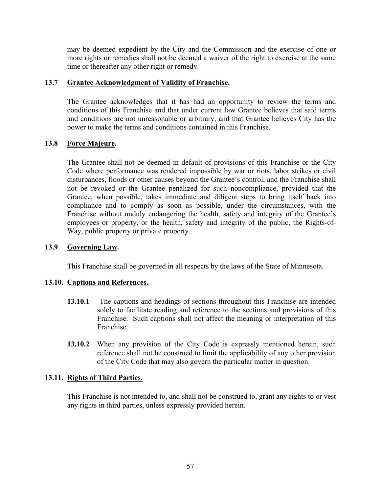may be deemed expedient by the City and the Commission and the exercise of one or more rights or remedies shall not be deemed a waiver of the right to exercise at the same time or thereafter any other right or remedy.

### **13.7 Grantee Acknowledgment of Validity of Franchise.**

The Grantee acknowledges that it has had an opportunity to review the terms and conditions of this Franchise and that under current law Grantee believes that said terms and conditions are not unreasonable or arbitrary, and that Grantee believes City has the power to make the terms and conditions contained in this Franchise.

# **13.8 Force Majeure.**

 The Grantee shall not be deemed in default of provisions of this Franchise or the City Code where performance was rendered impossible by war or riots, labor strikes or civil disturbances, floods or other causes beyond the Grantee's control, and the Franchise shall not be revoked or the Grantee penalized for such noncompliance, provided that the Grantee, when possible, takes immediate and diligent steps to bring itself back into compliance and to comply as soon as possible, under the circumstances, with the Franchise without unduly endangering the health, safety and integrity of the Grantee's employees or property, or the health, safety and integrity of the public, the Rights-of-Way, public property or private property.

# **13.9 Governing Law.**

This Franchise shall be governed in all respects by the laws of the State of Minnesota.

# **13.10. Captions and References.**

- **13.10.1** The captions and headings of sections throughout this Franchise are intended solely to facilitate reading and reference to the sections and provisions of this Franchise. Such captions shall not affect the meaning or interpretation of this Franchise.
- **13.10.2** When any provision of the City Code is expressly mentioned herein, such reference shall not be construed to limit the applicability of any other provision of the City Code that may also govern the particular matter in question.

#### **13.11. Rights of Third Parties.**

This Franchise is not intended to, and shall not be construed to, grant any rights to or vest any rights in third parties, unless expressly provided herein.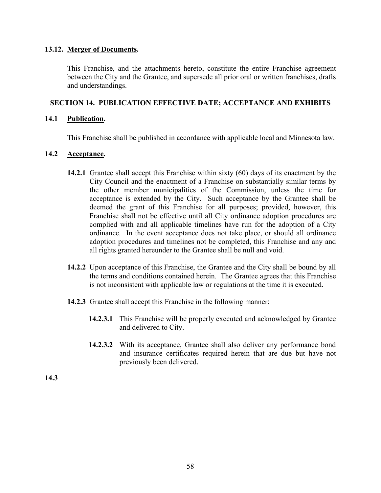### **13.12. Merger of Documents.**

This Franchise, and the attachments hereto, constitute the entire Franchise agreement between the City and the Grantee, and supersede all prior oral or written franchises, drafts and understandings.

# **SECTION 14. PUBLICATION EFFECTIVE DATE; ACCEPTANCE AND EXHIBITS**

#### **14.1 Publication.**

This Franchise shall be published in accordance with applicable local and Minnesota law.

### **14.2 Acceptance.**

- **14.2.1** Grantee shall accept this Franchise within sixty (60) days of its enactment by the City Council and the enactment of a Franchise on substantially similar terms by the other member municipalities of the Commission, unless the time for acceptance is extended by the City. Such acceptance by the Grantee shall be deemed the grant of this Franchise for all purposes; provided, however, this Franchise shall not be effective until all City ordinance adoption procedures are complied with and all applicable timelines have run for the adoption of a City ordinance. In the event acceptance does not take place, or should all ordinance adoption procedures and timelines not be completed, this Franchise and any and all rights granted hereunder to the Grantee shall be null and void.
- **14.2.2** Upon acceptance of this Franchise, the Grantee and the City shall be bound by all the terms and conditions contained herein. The Grantee agrees that this Franchise is not inconsistent with applicable law or regulations at the time it is executed.
- **14.2.3** Grantee shall accept this Franchise in the following manner:
	- **14.2.3.1** This Franchise will be properly executed and acknowledged by Grantee and delivered to City.
	- **14.2.3.2** With its acceptance, Grantee shall also deliver any performance bond and insurance certificates required herein that are due but have not previously been delivered.

**14.3**